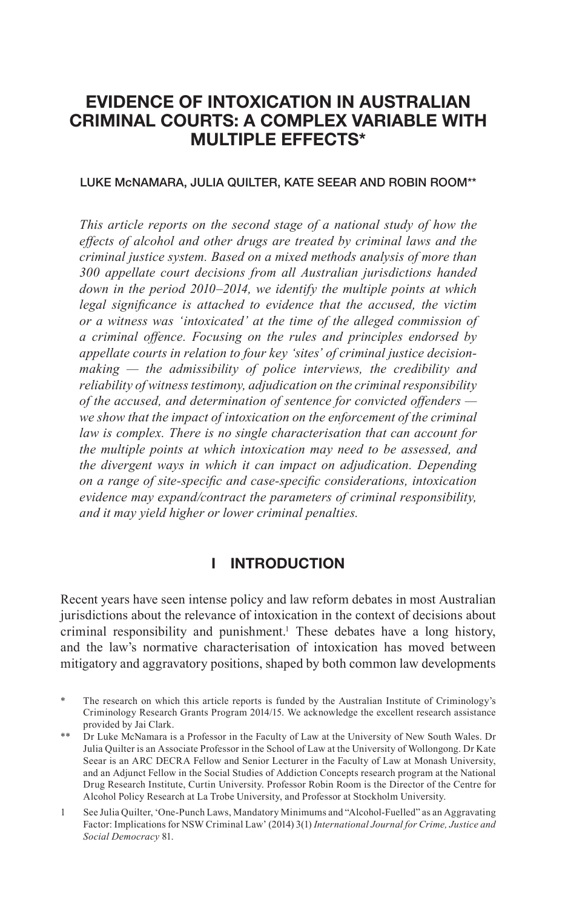# **EVIDENCE OF INTOXICATION IN AUSTRALIAN CRIMINAL COURTS: A COMPLEX VARIABLE WITH MULTIPLE EFFECTS\***

#### LUKE McNAMARA, JULIA QUILTER, KATE SEEAR AND ROBIN ROOM\*\*

*This article reports on the second stage of a national study of how the effects of alcohol and other drugs are treated by criminal laws and the criminal justice system. Based on a mixed methods analysis of more than 300 appellate court decisions from all Australian jurisdictions handed down in the period 2010–2014, we identify the multiple points at which legal significance is attached to evidence that the accused, the victim or a witness was 'intoxicated' at the time of the alleged commission of a criminal offence. Focusing on the rules and principles endorsed by appellate courts in relation to four key 'sites' of criminal justice decisionmaking — the admissibility of police interviews, the credibility and reliability of witness testimony, adjudication on the criminal responsibility of the accused, and determination of sentence for convicted offenders we show that the impact of intoxication on the enforcement of the criminal law is complex. There is no single characterisation that can account for the multiple points at which intoxication may need to be assessed, and the divergent ways in which it can impact on adjudication. Depending on a range of site-specific and case-specific considerations, intoxication evidence may expand/contract the parameters of criminal responsibility, and it may yield higher or lower criminal penalties.*

### **I INTRODUCTION**

Recent years have seen intense policy and law reform debates in most Australian jurisdictions about the relevance of intoxication in the context of decisions about criminal responsibility and punishment.<sup>1</sup> These debates have a long history, and the law's normative characterisation of intoxication has moved between mitigatory and aggravatory positions, shaped by both common law developments

The research on which this article reports is funded by the Australian Institute of Criminology's Criminology Research Grants Program 2014/15. We acknowledge the excellent research assistance provided by Jai Clark.

<sup>\*\*</sup> Dr Luke McNamara is a Professor in the Faculty of Law at the University of New South Wales. Dr Julia Quilter is an Associate Professor in the School of Law at the University of Wollongong. Dr Kate Seear is an ARC DECRA Fellow and Senior Lecturer in the Faculty of Law at Monash University, and an Adjunct Fellow in the Social Studies of Addiction Concepts research program at the National Drug Research Institute, Curtin University. Professor Robin Room is the Director of the Centre for Alcohol Policy Research at La Trobe University, and Professor at Stockholm University.

<sup>1</sup> See Julia Quilter, 'One-Punch Laws, Mandatory Minimums and "Alcohol-Fuelled" as an Aggravating Factor: Implications for NSW Criminal Law' (2014) 3(1) *International Journal for Crime, Justice and Social Democracy* 81.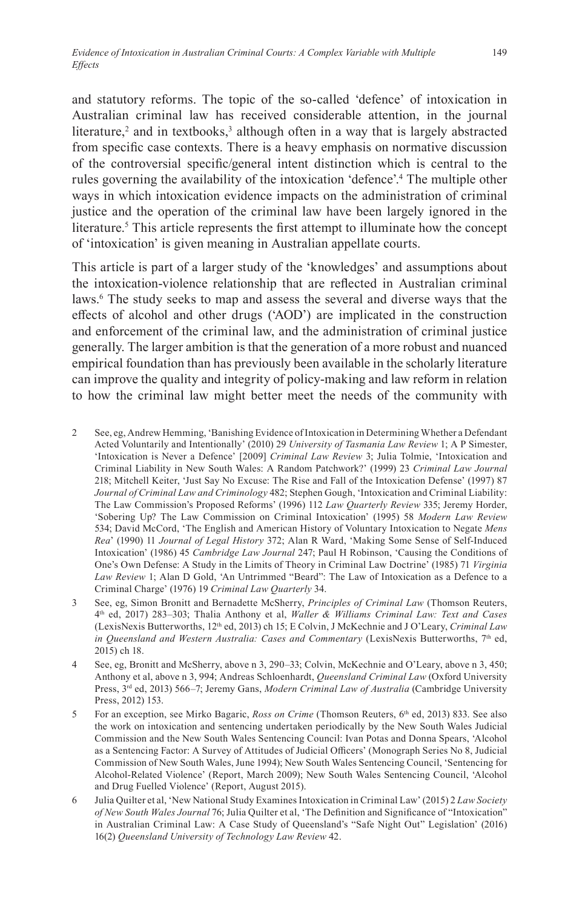and statutory reforms. The topic of the so-called 'defence' of intoxication in Australian criminal law has received considerable attention, in the journal literature,<sup>2</sup> and in textbooks,<sup>3</sup> although often in a way that is largely abstracted from specific case contexts. There is a heavy emphasis on normative discussion of the controversial specific/general intent distinction which is central to the rules governing the availability of the intoxication 'defence'.4 The multiple other ways in which intoxication evidence impacts on the administration of criminal justice and the operation of the criminal law have been largely ignored in the literature.<sup>5</sup> This article represents the first attempt to illuminate how the concept of 'intoxication' is given meaning in Australian appellate courts.

This article is part of a larger study of the 'knowledges' and assumptions about the intoxication-violence relationship that are reflected in Australian criminal laws.<sup>6</sup> The study seeks to map and assess the several and diverse ways that the effects of alcohol and other drugs ('AOD') are implicated in the construction and enforcement of the criminal law, and the administration of criminal justice generally. The larger ambition is that the generation of a more robust and nuanced empirical foundation than has previously been available in the scholarly literature can improve the quality and integrity of policy-making and law reform in relation to how the criminal law might better meet the needs of the community with

- 2 See, eg, Andrew Hemming, 'Banishing Evidence of Intoxication in Determining Whether a Defendant Acted Voluntarily and Intentionally' (2010) 29 *University of Tasmania Law Review* 1; A P Simester, 'Intoxication is Never a Defence' [2009] *Criminal Law Review* 3; Julia Tolmie, 'Intoxication and Criminal Liability in New South Wales: A Random Patchwork?' (1999) 23 *Criminal Law Journal* 218; Mitchell Keiter, 'Just Say No Excuse: The Rise and Fall of the Intoxication Defense' (1997) 87 *Journal of Criminal Law and Criminology* 482; Stephen Gough, 'Intoxication and Criminal Liability: The Law Commission's Proposed Reforms' (1996) 112 *Law Quarterly Review* 335; Jeremy Horder, 'Sobering Up? The Law Commission on Criminal Intoxication' (1995) 58 *Modern Law Review* 534; David McCord, 'The English and American History of Voluntary Intoxication to Negate *Mens Rea*' (1990) 11 *Journal of Legal History* 372; Alan R Ward, 'Making Some Sense of Self-Induced Intoxication' (1986) 45 *Cambridge Law Journal* 247; Paul H Robinson, 'Causing the Conditions of One's Own Defense: A Study in the Limits of Theory in Criminal Law Doctrine' (1985) 71 *Virginia Law Review* 1; Alan D Gold, 'An Untrimmed "Beard": The Law of Intoxication as a Defence to a Criminal Charge' (1976) 19 *Criminal Law Quarterly* 34.
- 3 See, eg, Simon Bronitt and Bernadette McSherry, *Principles of Criminal Law* (Thomson Reuters, 4th ed, 2017) 283–303; Thalia Anthony et al, *Waller & Williams Criminal Law: Text and Cases*  (LexisNexis Butterworths, 12th ed, 2013) ch 15; E Colvin, J McKechnie and J O'Leary, *Criminal Law in Queensland and Western Australia: Cases and Commentary (LexisNexis Butterworths, 7th ed,* 2015) ch 18.
- 4 See, eg, Bronitt and McSherry, above n 3, 290–33; Colvin, McKechnie and O'Leary, above n 3, 450; Anthony et al, above n 3, 994; Andreas Schloenhardt, *Queensland Criminal Law* (Oxford University Press, 3rd ed, 2013) 566–7; Jeremy Gans, *Modern Criminal Law of Australia* (Cambridge University Press, 2012) 153.
- 5 For an exception, see Mirko Bagaric, *Ross on Crime* (Thomson Reuters, 6th ed, 2013) 833. See also the work on intoxication and sentencing undertaken periodically by the New South Wales Judicial Commission and the New South Wales Sentencing Council: Ivan Potas and Donna Spears, 'Alcohol as a Sentencing Factor: A Survey of Attitudes of Judicial Officers' (Monograph Series No 8, Judicial Commission of New South Wales, June 1994); New South Wales Sentencing Council, 'Sentencing for Alcohol-Related Violence' (Report, March 2009); New South Wales Sentencing Council, 'Alcohol and Drug Fuelled Violence' (Report, August 2015).
- 6 Julia Quilter et al, 'New National Study Examines Intoxication in Criminal Law' (2015) 2 *Law Society of New South Wales Journal* 76; Julia Quilter et al, 'The Definition and Significance of "Intoxication" in Australian Criminal Law: A Case Study of Queensland's "Safe Night Out" Legislation' (2016) 16(2) *Queensland University of Technology Law Review* 42.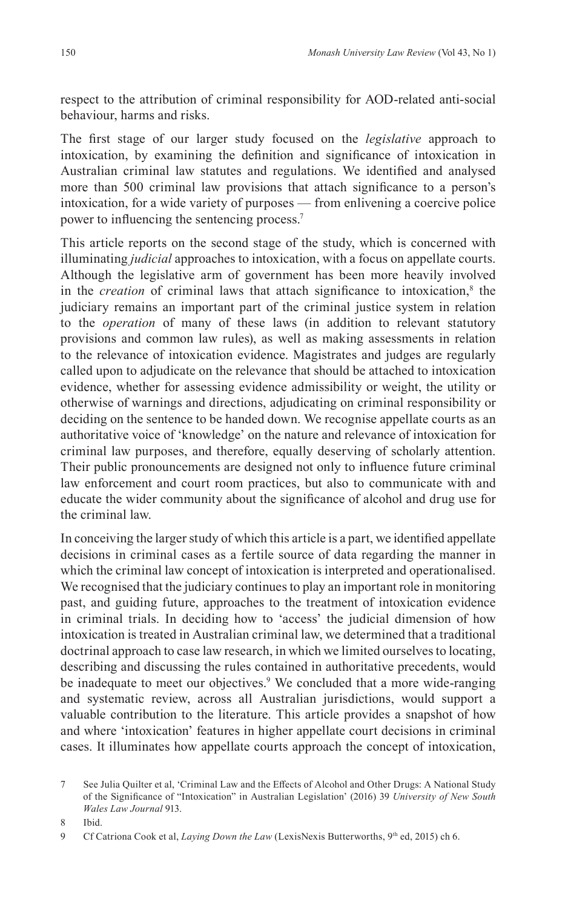respect to the attribution of criminal responsibility for AOD-related anti-social behaviour, harms and risks.

The first stage of our larger study focused on the *legislative* approach to intoxication, by examining the definition and significance of intoxication in Australian criminal law statutes and regulations. We identified and analysed more than 500 criminal law provisions that attach significance to a person's intoxication, for a wide variety of purposes — from enlivening a coercive police power to influencing the sentencing process.<sup>7</sup>

This article reports on the second stage of the study, which is concerned with illuminating *judicial* approaches to intoxication, with a focus on appellate courts. Although the legislative arm of government has been more heavily involved in the *creation* of criminal laws that attach significance to intoxication,<sup>8</sup> the judiciary remains an important part of the criminal justice system in relation to the *operation* of many of these laws (in addition to relevant statutory provisions and common law rules), as well as making assessments in relation to the relevance of intoxication evidence. Magistrates and judges are regularly called upon to adjudicate on the relevance that should be attached to intoxication evidence, whether for assessing evidence admissibility or weight, the utility or otherwise of warnings and directions, adjudicating on criminal responsibility or deciding on the sentence to be handed down. We recognise appellate courts as an authoritative voice of 'knowledge' on the nature and relevance of intoxication for criminal law purposes, and therefore, equally deserving of scholarly attention. Their public pronouncements are designed not only to influence future criminal law enforcement and court room practices, but also to communicate with and educate the wider community about the significance of alcohol and drug use for the criminal law.

In conceiving the larger study of which this article is a part, we identified appellate decisions in criminal cases as a fertile source of data regarding the manner in which the criminal law concept of intoxication is interpreted and operationalised. We recognised that the judiciary continues to play an important role in monitoring past, and guiding future, approaches to the treatment of intoxication evidence in criminal trials. In deciding how to 'access' the judicial dimension of how intoxication is treated in Australian criminal law, we determined that a traditional doctrinal approach to case law research, in which we limited ourselves to locating, describing and discussing the rules contained in authoritative precedents, would be inadequate to meet our objectives.<sup>9</sup> We concluded that a more wide-ranging and systematic review, across all Australian jurisdictions, would support a valuable contribution to the literature. This article provides a snapshot of how and where 'intoxication' features in higher appellate court decisions in criminal cases. It illuminates how appellate courts approach the concept of intoxication,

8 Ibid.

<sup>7</sup> See Julia Quilter et al, 'Criminal Law and the Effects of Alcohol and Other Drugs: A National Study of the Significance of "Intoxication" in Australian Legislation' (2016) 39 *University of New South Wales Law Journal* 913.

<sup>9</sup> Cf Catriona Cook et al, *Laying Down the Law* (LexisNexis Butterworths, 9<sup>th</sup> ed, 2015) ch 6.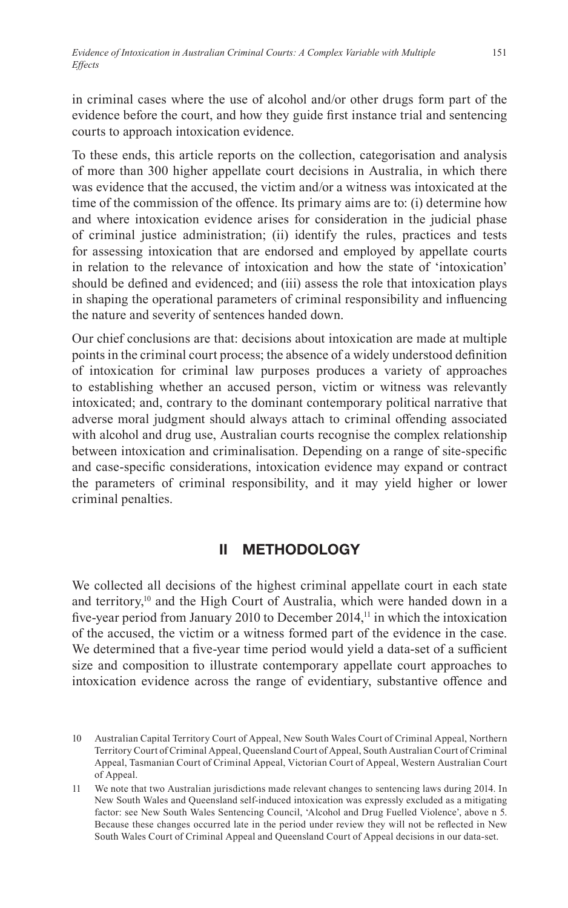in criminal cases where the use of alcohol and/or other drugs form part of the evidence before the court, and how they guide first instance trial and sentencing courts to approach intoxication evidence.

To these ends, this article reports on the collection, categorisation and analysis of more than 300 higher appellate court decisions in Australia, in which there was evidence that the accused, the victim and/or a witness was intoxicated at the time of the commission of the offence. Its primary aims are to: (i) determine how and where intoxication evidence arises for consideration in the judicial phase of criminal justice administration; (ii) identify the rules, practices and tests for assessing intoxication that are endorsed and employed by appellate courts in relation to the relevance of intoxication and how the state of 'intoxication' should be defined and evidenced; and (iii) assess the role that intoxication plays in shaping the operational parameters of criminal responsibility and influencing the nature and severity of sentences handed down.

Our chief conclusions are that: decisions about intoxication are made at multiple points in the criminal court process; the absence of a widely understood definition of intoxication for criminal law purposes produces a variety of approaches to establishing whether an accused person, victim or witness was relevantly intoxicated; and, contrary to the dominant contemporary political narrative that adverse moral judgment should always attach to criminal offending associated with alcohol and drug use, Australian courts recognise the complex relationship between intoxication and criminalisation. Depending on a range of site-specific and case-specific considerations, intoxication evidence may expand or contract the parameters of criminal responsibility, and it may yield higher or lower criminal penalties.

### **II METHODOLOGY**

We collected all decisions of the highest criminal appellate court in each state and territory,<sup>10</sup> and the High Court of Australia, which were handed down in a five-year period from January 2010 to December 2014,<sup>11</sup> in which the intoxication of the accused, the victim or a witness formed part of the evidence in the case. We determined that a five-year time period would yield a data-set of a sufficient size and composition to illustrate contemporary appellate court approaches to intoxication evidence across the range of evidentiary, substantive offence and

<sup>10</sup> Australian Capital Territory Court of Appeal, New South Wales Court of Criminal Appeal, Northern Territory Court of Criminal Appeal, Queensland Court of Appeal, South Australian Court of Criminal Appeal, Tasmanian Court of Criminal Appeal, Victorian Court of Appeal, Western Australian Court of Appeal.

<sup>11</sup> We note that two Australian jurisdictions made relevant changes to sentencing laws during 2014. In New South Wales and Queensland self-induced intoxication was expressly excluded as a mitigating factor: see New South Wales Sentencing Council, 'Alcohol and Drug Fuelled Violence', above n 5. Because these changes occurred late in the period under review they will not be reflected in New South Wales Court of Criminal Appeal and Queensland Court of Appeal decisions in our data-set.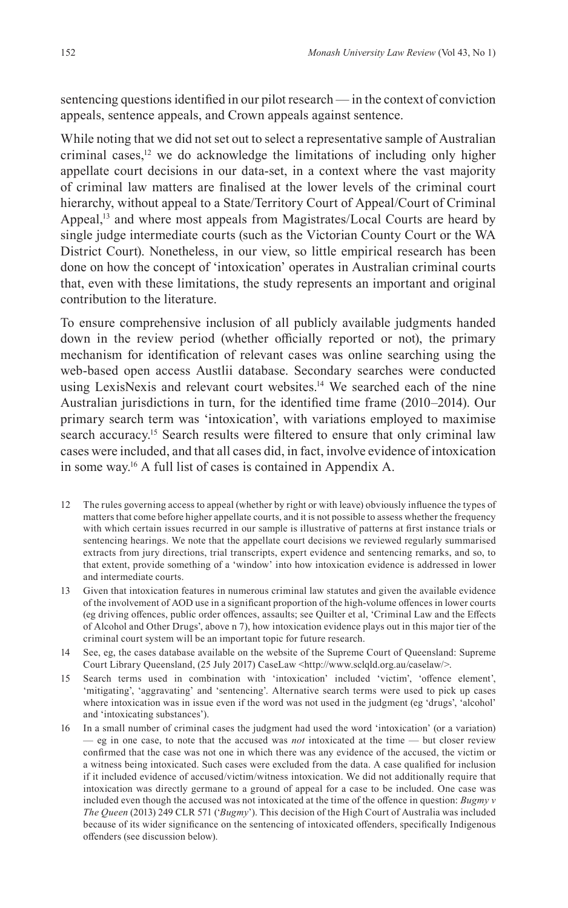sentencing questions identified in our pilot research — in the context of conviction appeals, sentence appeals, and Crown appeals against sentence.

While noting that we did not set out to select a representative sample of Australian criminal cases, $12$  we do acknowledge the limitations of including only higher appellate court decisions in our data-set, in a context where the vast majority of criminal law matters are finalised at the lower levels of the criminal court hierarchy, without appeal to a State/Territory Court of Appeal/Court of Criminal Appeal,<sup>13</sup> and where most appeals from Magistrates/Local Courts are heard by single judge intermediate courts (such as the Victorian County Court or the WA District Court). Nonetheless, in our view, so little empirical research has been done on how the concept of 'intoxication' operates in Australian criminal courts that, even with these limitations, the study represents an important and original contribution to the literature.

To ensure comprehensive inclusion of all publicly available judgments handed down in the review period (whether officially reported or not), the primary mechanism for identification of relevant cases was online searching using the web-based open access Austlii database. Secondary searches were conducted using LexisNexis and relevant court websites.<sup>14</sup> We searched each of the nine Australian jurisdictions in turn, for the identified time frame (2010–2014). Our primary search term was 'intoxication', with variations employed to maximise search accuracy.<sup>15</sup> Search results were filtered to ensure that only criminal law cases were included, and that all cases did, in fact, involve evidence of intoxication in some way.16 A full list of cases is contained in Appendix A.

- 12 The rules governing access to appeal (whether by right or with leave) obviously influence the types of matters that come before higher appellate courts, and it is not possible to assess whether the frequency with which certain issues recurred in our sample is illustrative of patterns at first instance trials or sentencing hearings. We note that the appellate court decisions we reviewed regularly summarised extracts from jury directions, trial transcripts, expert evidence and sentencing remarks, and so, to that extent, provide something of a 'window' into how intoxication evidence is addressed in lower and intermediate courts.
- 13 Given that intoxication features in numerous criminal law statutes and given the available evidence of the involvement of AOD use in a significant proportion of the high-volume offences in lower courts (eg driving offences, public order offences, assaults; see Quilter et al, 'Criminal Law and the Effects of Alcohol and Other Drugs', above n 7), how intoxication evidence plays out in this major tier of the criminal court system will be an important topic for future research.
- 14 See, eg, the cases database available on the website of the Supreme Court of Queensland: Supreme Court Library Queensland, (25 July 2017) CaseLaw <http://www.sclqld.org.au/caselaw/>.
- 15 Search terms used in combination with 'intoxication' included 'victim', 'offence element', 'mitigating', 'aggravating' and 'sentencing'. Alternative search terms were used to pick up cases where intoxication was in issue even if the word was not used in the judgment (eg 'drugs', 'alcohol' and 'intoxicating substances').
- 16 In a small number of criminal cases the judgment had used the word 'intoxication' (or a variation) — eg in one case, to note that the accused was *not* intoxicated at the time — but closer review confirmed that the case was not one in which there was any evidence of the accused, the victim or a witness being intoxicated. Such cases were excluded from the data. A case qualified for inclusion if it included evidence of accused/victim/witness intoxication. We did not additionally require that intoxication was directly germane to a ground of appeal for a case to be included. One case was included even though the accused was not intoxicated at the time of the offence in question: *Bugmy v The Queen* (2013) 249 CLR 571 ('*Bugmy*'). This decision of the High Court of Australia was included because of its wider significance on the sentencing of intoxicated offenders, specifically Indigenous offenders (see discussion below).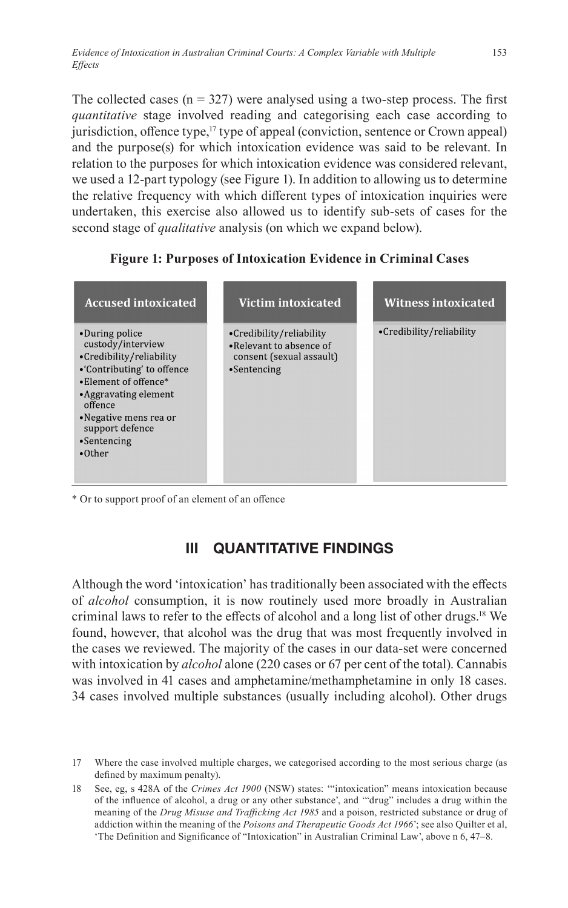The collected cases ( $n = 327$ ) were analysed using a two-step process. The first *quantitative* stage involved reading and categorising each case according to jurisdiction, offence type, $\frac{17}{2}$  type of appeal (conviction, sentence or Crown appeal) and the purpose(s) for which intoxication evidence was said to be relevant. In relation to the purposes for which intoxication evidence was considered relevant, we used a 12-part typology (see Figure 1). In addition to allowing us to determine the relative frequency with which different types of intoxication inquiries were undertaken, this exercise also allowed us to identify sub-sets of cases for the second stage of *qualitative* analysis (on which we expand below).



**Figure 1: Purposes of Intoxication Evidence in Criminal Cases**

\* Or to support proof of an element of an offence

# **III QUANTITATIVE FINDINGS**

Although the word 'intoxication' has traditionally been associated with the effects of *alcohol* consumption, it is now routinely used more broadly in Australian criminal laws to refer to the effects of alcohol and a long list of other drugs.18 We found, however, that alcohol was the drug that was most frequently involved in the cases we reviewed. The majority of the cases in our data-set were concerned with intoxication by *alcohol* alone (220 cases or 67 per cent of the total). Cannabis was involved in 41 cases and amphetamine/methamphetamine in only 18 cases. 34 cases involved multiple substances (usually including alcohol). Other drugs

<sup>17</sup> Where the case involved multiple charges, we categorised according to the most serious charge (as defined by maximum penalty).

<sup>18</sup> See, eg, s 428A of the *Crimes Act 1900* (NSW) states: '"intoxication" means intoxication because of the influence of alcohol, a drug or any other substance', and '"drug" includes a drug within the meaning of the *Drug Misuse and Trafficking Act 1985* and a poison, restricted substance or drug of addiction within the meaning of the *Poisons and Therapeutic Goods Act 1966*'; see also Quilter et al, 'The Definition and Significance of "Intoxication" in Australian Criminal Law', above n 6, 47–8.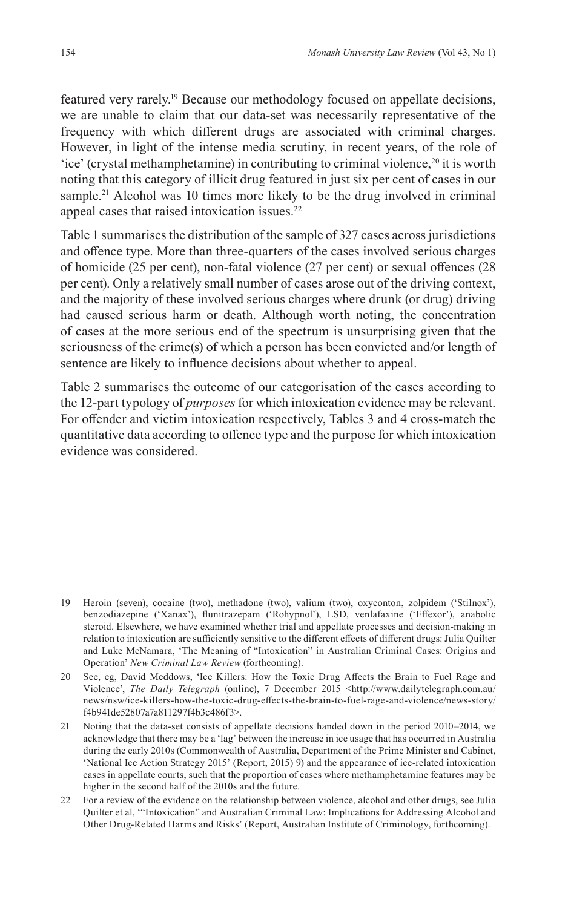featured very rarely.19 Because our methodology focused on appellate decisions, we are unable to claim that our data-set was necessarily representative of the frequency with which different drugs are associated with criminal charges. However, in light of the intense media scrutiny, in recent years, of the role of 'ice' (crystal methamphetamine) in contributing to criminal violence,<sup>20</sup> it is worth noting that this category of illicit drug featured in just six per cent of cases in our sample.<sup>21</sup> Alcohol was 10 times more likely to be the drug involved in criminal appeal cases that raised intoxication issues.<sup>22</sup>

Table 1 summarises the distribution of the sample of 327 cases across jurisdictions and offence type. More than three-quarters of the cases involved serious charges of homicide (25 per cent), non-fatal violence (27 per cent) or sexual offences (28 per cent). Only a relatively small number of cases arose out of the driving context, and the majority of these involved serious charges where drunk (or drug) driving had caused serious harm or death. Although worth noting, the concentration of cases at the more serious end of the spectrum is unsurprising given that the seriousness of the crime(s) of which a person has been convicted and/or length of sentence are likely to influence decisions about whether to appeal.

Table 2 summarises the outcome of our categorisation of the cases according to the 12-part typology of *purposes* for which intoxication evidence may be relevant. For offender and victim intoxication respectively, Tables 3 and 4 cross-match the quantitative data according to offence type and the purpose for which intoxication evidence was considered.

- 19 Heroin (seven), cocaine (two), methadone (two), valium (two), oxyconton, zolpidem ('Stilnox'), benzodiazepine ('Xanax'), flunitrazepam ('Rohypnol'), LSD, venlafaxine ('Effexor'), anabolic steroid. Elsewhere, we have examined whether trial and appellate processes and decision-making in relation to intoxication are sufficiently sensitive to the different effects of different drugs: Julia Quilter and Luke McNamara, 'The Meaning of "Intoxication" in Australian Criminal Cases: Origins and Operation' *New Criminal Law Review* (forthcoming).
- 20 See, eg, David Meddows, 'Ice Killers: How the Toxic Drug Affects the Brain to Fuel Rage and Violence', *The Daily Telegraph* (online), 7 December 2015 <http://www.dailytelegraph.com.au/ news/nsw/ice-killers-how-the-toxic-drug-effects-the-brain-to-fuel-rage-and-violence/news-story/ f4b941de52807a7a811297f4b3c486f3>.
- 21 Noting that the data-set consists of appellate decisions handed down in the period 2010–2014, we acknowledge that there may be a 'lag' between the increase in ice usage that has occurred in Australia during the early 2010s (Commonwealth of Australia, Department of the Prime Minister and Cabinet, 'National Ice Action Strategy 2015' (Report, 2015) 9) and the appearance of ice-related intoxication cases in appellate courts, such that the proportion of cases where methamphetamine features may be higher in the second half of the 2010s and the future.
- 22 For a review of the evidence on the relationship between violence, alcohol and other drugs, see Julia Quilter et al, '"Intoxication" and Australian Criminal Law: Implications for Addressing Alcohol and Other Drug-Related Harms and Risks' (Report, Australian Institute of Criminology, forthcoming).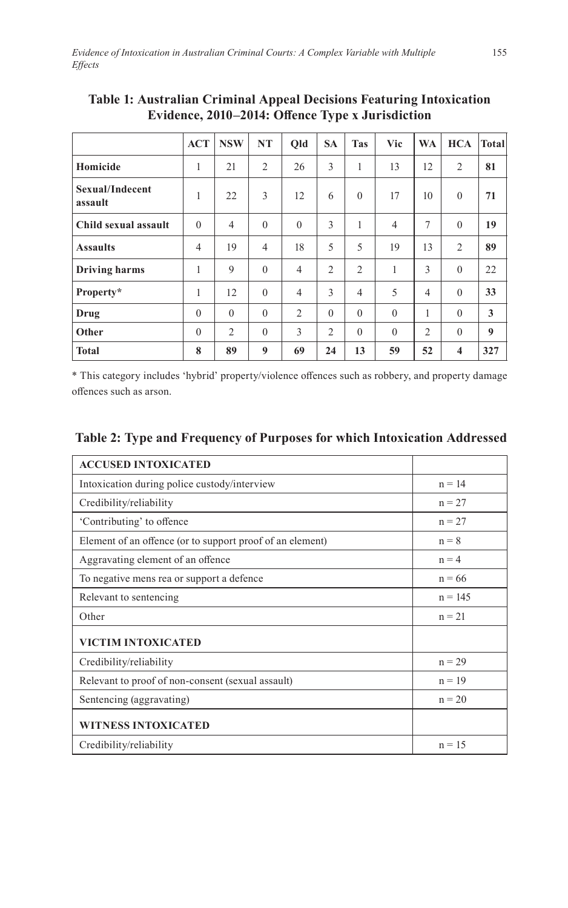|                            | <b>ACT</b>     | <b>NSW</b>     | <b>NT</b>      | Qld            | <b>SA</b>      | <b>Tas</b>     | Vic            | <b>WA</b>      | <b>HCA</b>              | Total |
|----------------------------|----------------|----------------|----------------|----------------|----------------|----------------|----------------|----------------|-------------------------|-------|
| Homicide                   | 1              | 21             | $\overline{2}$ | 26             | 3              | 1              | 13             | 12             | $\overline{2}$          | 81    |
| Sexual/Indecent<br>assault | 1              | 22             | 3              | 12             | 6              | $\theta$       | 17             | 10             | $\theta$                | 71    |
| Child sexual assault       | $\theta$       | $\overline{4}$ | $\theta$       | $\theta$       | 3              | 1              | $\overline{4}$ | 7              | $\mathbf{0}$            | 19    |
| <b>Assaults</b>            | $\overline{4}$ | 19             | 4              | 18             | 5              | 5              | 19             | 13             | 2                       | 89    |
| <b>Driving harms</b>       | 1              | 9              | $\theta$       | $\overline{4}$ | $\overline{2}$ | $\overline{2}$ | 1              | 3              | $\theta$                | 22    |
| Property*                  | 1              | 12             | $\theta$       | $\overline{4}$ | 3              | $\overline{4}$ | 5              | $\overline{4}$ | $\theta$                | 33    |
| Drug                       | $\theta$       | $\theta$       | $\theta$       | $\overline{2}$ | $\theta$       | $\theta$       | $\theta$       | 1              | $\Omega$                | 3     |
| Other                      | $\theta$       | $\overline{2}$ | $\theta$       | 3              | $\overline{2}$ | $\theta$       | $\theta$       | $\overline{2}$ | $\Omega$                | 9     |
| <b>Total</b>               | 8              | 89             | 9              | 69             | 24             | 13             | 59             | 52             | $\overline{\mathbf{4}}$ | 327   |

**Table 1: Australian Criminal Appeal Decisions Featuring Intoxication Evidence, 2010–2014: Offence Type x Jurisdiction**

\* This category includes 'hybrid' property/violence offences such as robbery, and property damage offences such as arson.

| <b>ACCUSED INTOXICATED</b>                                |           |
|-----------------------------------------------------------|-----------|
| Intoxication during police custody/interview              | $n = 14$  |
| Credibility/reliability                                   | $n = 27$  |
| 'Contributing' to offence                                 | $n = 27$  |
| Element of an offence (or to support proof of an element) | $n = 8$   |
| Aggravating element of an offence                         | $n = 4$   |
| To negative mens rea or support a defence                 | $n = 66$  |
| Relevant to sentencing                                    | $n = 145$ |
| Other                                                     | $n = 21$  |
| <b>VICTIM INTOXICATED</b>                                 |           |
| Credibility/reliability                                   | $n = 29$  |
| Relevant to proof of non-consent (sexual assault)         | $n = 19$  |
| Sentencing (aggravating)                                  | $n = 20$  |
| <b>WITNESS INTOXICATED</b>                                |           |
| Credibility/reliability                                   | $n = 15$  |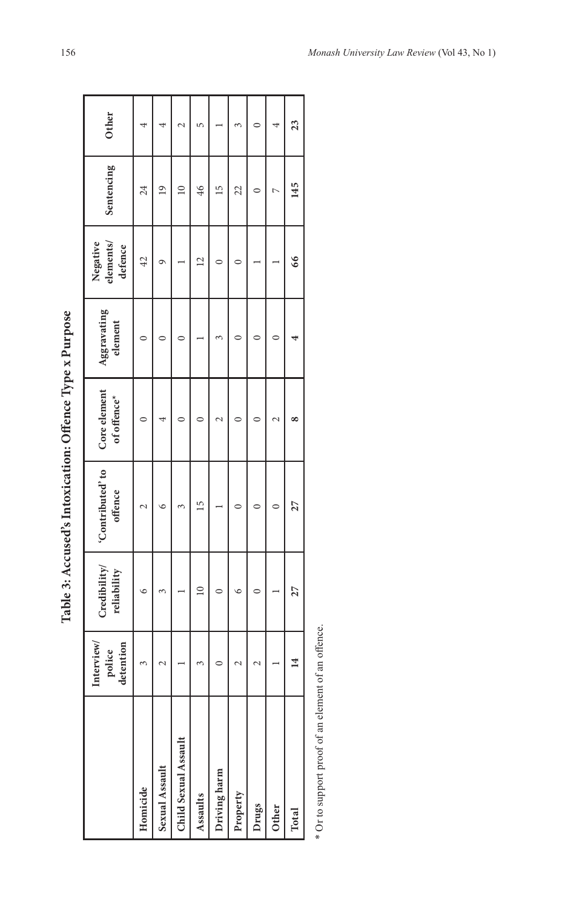| ¢<br>$\vdots$<br>I<br>ו<br>י<br>ı |
|-----------------------------------|
| I<br>$-20$ and $-7$               |
|                                   |
| í                                 |
| ì<br>j                            |

|                      | Interview/<br>detention<br>police | Credibility/<br>reliability | 'Contributed' to<br>offence | Core element<br>of offence* | Aggravating<br>element | Negative<br>elements/<br>defence | Sentencing      | Other |
|----------------------|-----------------------------------|-----------------------------|-----------------------------|-----------------------------|------------------------|----------------------------------|-----------------|-------|
| Homicide             | 3                                 | $\circ$                     |                             |                             |                        | $\overline{4}$                   | 24              |       |
| Sexual Assault       | $\mathbf 2$                       | ξ                           | ৩                           |                             |                        | σ                                | $\overline{19}$ |       |
| Child Sexual Assault |                                   |                             | 3                           |                             |                        |                                  | $\supseteq$     | ₹     |
| Assaults             | ω                                 |                             | $\overline{5}$              | ⊂                           |                        |                                  | 46              | LO    |
| Driving harm         | 0                                 | $\subset$                   |                             | $\mathcal{L}$               |                        |                                  | 15              |       |
| Property             | $\mathbf 2$                       | $\circ$                     | 0                           | 0                           |                        |                                  | 22              | 3     |
| Drugs                | $\mathbf 2$                       | 0                           | ⊂                           |                             |                        |                                  |                 |       |
| Other                |                                   |                             | ⊂                           | N                           |                        |                                  | t               |       |
| Total                | 14                                | 27                          | 27                          | œ                           | 4                      | 66                               | 145             | 23    |

\* Or to support proof of an element of an offence. \* Or to support proof of an element of an offence.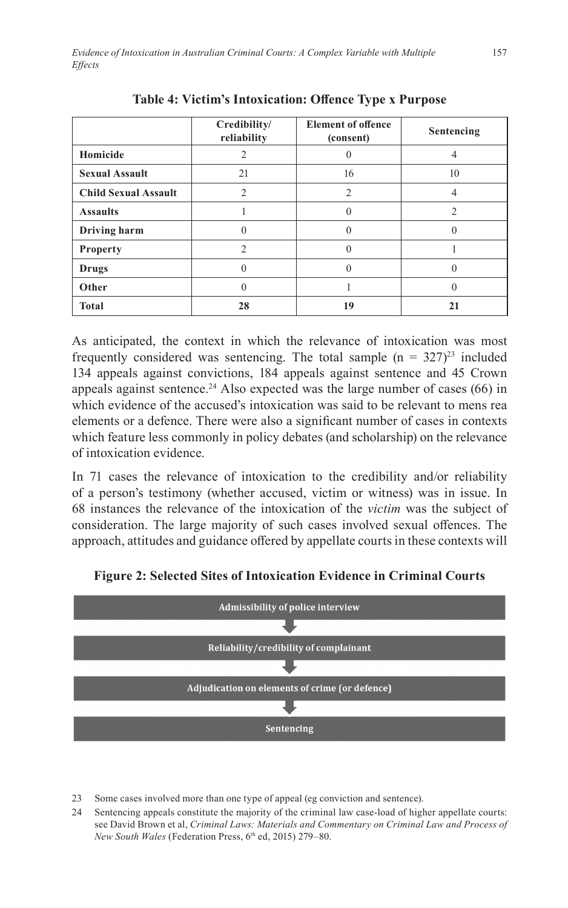|                             | Credibility/<br>reliability | <b>Element of offence</b><br>(consent) | Sentencing     |
|-----------------------------|-----------------------------|----------------------------------------|----------------|
| Homicide                    | 2                           |                                        |                |
| <b>Sexual Assault</b>       | 21                          | 16                                     | 10             |
| <b>Child Sexual Assault</b> | $\mathfrak{D}$              | $\mathfrak{D}$                         |                |
| <b>Assaults</b>             |                             | 0                                      | $\mathfrak{D}$ |
| Driving harm                | $\Omega$                    | 0                                      | 0              |
| <b>Property</b>             | $\mathfrak{D}$              | 0                                      |                |
| Drugs                       | $\Omega$                    | $\theta$                               | 0              |
| Other                       |                             |                                        |                |
| <b>Total</b>                | 28                          | 19                                     | 21             |

**Table 4: Victim's Intoxication: Offence Type x Purpose**

As anticipated, the context in which the relevance of intoxication was most frequently considered was sentencing. The total sample  $(n = 327)^{23}$  included 134 appeals against convictions, 184 appeals against sentence and 45 Crown appeals against sentence.<sup>24</sup> Also expected was the large number of cases  $(66)$  in which evidence of the accused's intoxication was said to be relevant to mens rea elements or a defence. There were also a significant number of cases in contexts which feature less commonly in policy debates (and scholarship) on the relevance of intoxication evidence.

In 71 cases the relevance of intoxication to the credibility and/or reliability of a person's testimony (whether accused, victim or witness) was in issue. In 68 instances the relevance of the intoxication of the *victim* was the subject of consideration. The large majority of such cases involved sexual offences. The approach, attitudes and guidance offered by appellate courts in these contexts will



**Figure 2: Selected Sites of Intoxication Evidence in Criminal Courts**

<sup>23</sup> Some cases involved more than one type of appeal (eg conviction and sentence).

<sup>24</sup> Sentencing appeals constitute the majority of the criminal law case-load of higher appellate courts: see David Brown et al, *Criminal Laws: Materials and Commentary on Criminal Law and Process of New South Wales* (Federation Press, 6<sup>th</sup> ed, 2015) 279-80.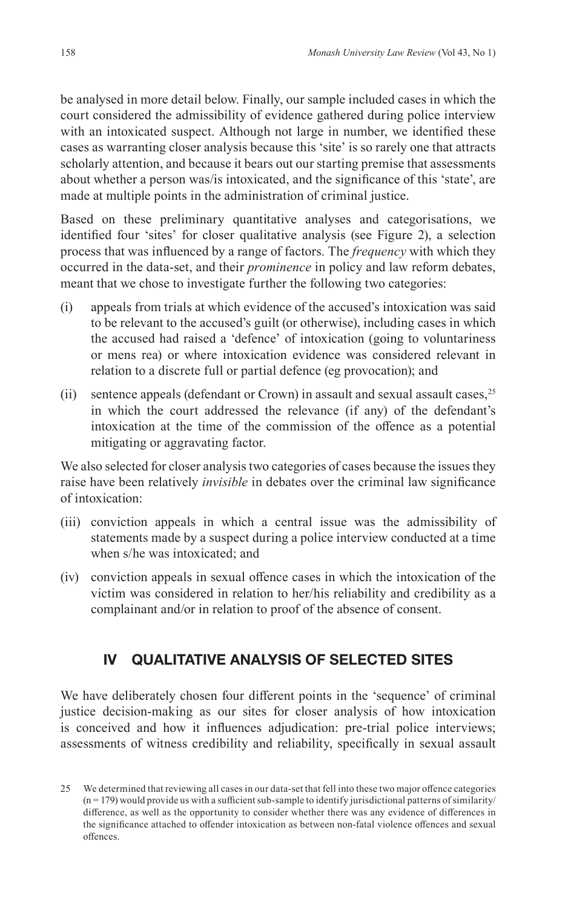be analysed in more detail below. Finally, our sample included cases in which the court considered the admissibility of evidence gathered during police interview with an intoxicated suspect. Although not large in number, we identified these cases as warranting closer analysis because this 'site' is so rarely one that attracts scholarly attention, and because it bears out our starting premise that assessments about whether a person was/is intoxicated, and the significance of this 'state', are made at multiple points in the administration of criminal justice.

Based on these preliminary quantitative analyses and categorisations, we identified four 'sites' for closer qualitative analysis (see Figure 2), a selection process that was influenced by a range of factors. The *frequency* with which they occurred in the data-set, and their *prominence* in policy and law reform debates, meant that we chose to investigate further the following two categories:

- (i) appeals from trials at which evidence of the accused's intoxication was said to be relevant to the accused's guilt (or otherwise), including cases in which the accused had raised a 'defence' of intoxication (going to voluntariness or mens rea) or where intoxication evidence was considered relevant in relation to a discrete full or partial defence (eg provocation); and
- (ii) sentence appeals (defendant or Crown) in assault and sexual assault cases,  $25$ in which the court addressed the relevance (if any) of the defendant's intoxication at the time of the commission of the offence as a potential mitigating or aggravating factor.

We also selected for closer analysis two categories of cases because the issues they raise have been relatively *invisible* in debates over the criminal law significance of intoxication:

- (iii) conviction appeals in which a central issue was the admissibility of statements made by a suspect during a police interview conducted at a time when s/he was intoxicated; and
- (iv) conviction appeals in sexual offence cases in which the intoxication of the victim was considered in relation to her/his reliability and credibility as a complainant and/or in relation to proof of the absence of consent.

# **IV QUALITATIVE ANALYSIS OF SELECTED SITES**

We have deliberately chosen four different points in the 'sequence' of criminal justice decision-making as our sites for closer analysis of how intoxication is conceived and how it influences adjudication: pre-trial police interviews; assessments of witness credibility and reliability, specifically in sexual assault

<sup>25</sup> We determined that reviewing all cases in our data-set that fell into these two major offence categories  $(n = 179)$  would provide us with a sufficient sub-sample to identify jurisdictional patterns of similarity/ difference, as well as the opportunity to consider whether there was any evidence of differences in the significance attached to offender intoxication as between non-fatal violence offences and sexual offences.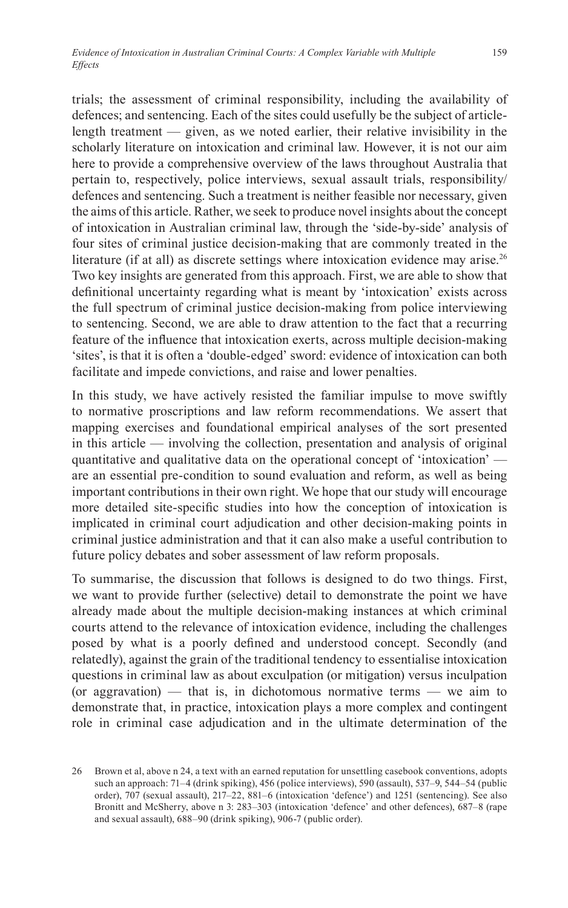trials; the assessment of criminal responsibility, including the availability of defences; and sentencing. Each of the sites could usefully be the subject of articlelength treatment — given, as we noted earlier, their relative invisibility in the scholarly literature on intoxication and criminal law. However, it is not our aim here to provide a comprehensive overview of the laws throughout Australia that pertain to, respectively, police interviews, sexual assault trials, responsibility/ defences and sentencing. Such a treatment is neither feasible nor necessary, given the aims of this article. Rather, we seek to produce novel insights about the concept of intoxication in Australian criminal law, through the 'side-by-side' analysis of four sites of criminal justice decision-making that are commonly treated in the literature (if at all) as discrete settings where intoxication evidence may arise.<sup>26</sup> Two key insights are generated from this approach. First, we are able to show that definitional uncertainty regarding what is meant by 'intoxication' exists across the full spectrum of criminal justice decision-making from police interviewing to sentencing. Second, we are able to draw attention to the fact that a recurring feature of the influence that intoxication exerts, across multiple decision-making 'sites', is that it is often a 'double-edged' sword: evidence of intoxication can both facilitate and impede convictions, and raise and lower penalties.

In this study, we have actively resisted the familiar impulse to move swiftly to normative proscriptions and law reform recommendations. We assert that mapping exercises and foundational empirical analyses of the sort presented in this article — involving the collection, presentation and analysis of original quantitative and qualitative data on the operational concept of 'intoxication' are an essential pre-condition to sound evaluation and reform, as well as being important contributions in their own right. We hope that our study will encourage more detailed site-specific studies into how the conception of intoxication is implicated in criminal court adjudication and other decision-making points in criminal justice administration and that it can also make a useful contribution to future policy debates and sober assessment of law reform proposals.

To summarise, the discussion that follows is designed to do two things. First, we want to provide further (selective) detail to demonstrate the point we have already made about the multiple decision-making instances at which criminal courts attend to the relevance of intoxication evidence, including the challenges posed by what is a poorly defined and understood concept. Secondly (and relatedly), against the grain of the traditional tendency to essentialise intoxication questions in criminal law as about exculpation (or mitigation) versus inculpation (or aggravation) — that is, in dichotomous normative terms — we aim to demonstrate that, in practice, intoxication plays a more complex and contingent role in criminal case adjudication and in the ultimate determination of the

<sup>26</sup> Brown et al, above n 24, a text with an earned reputation for unsettling casebook conventions, adopts such an approach: 71–4 (drink spiking), 456 (police interviews), 590 (assault), 537–9, 544–54 (public order), 707 (sexual assault), 217–22, 881–6 (intoxication 'defence') and 1251 (sentencing). See also Bronitt and McSherry, above n 3: 283–303 (intoxication 'defence' and other defences), 687–8 (rape and sexual assault), 688–90 (drink spiking), 906-7 (public order).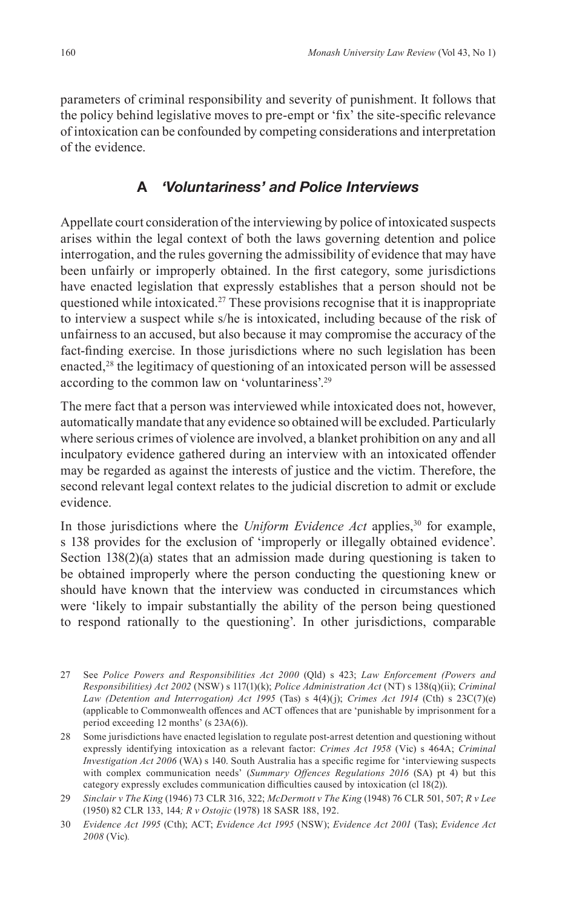parameters of criminal responsibility and severity of punishment. It follows that the policy behind legislative moves to pre-empt or 'fix' the site-specific relevance of intoxication can be confounded by competing considerations and interpretation of the evidence.

### **A** *'Voluntariness' and Police Interviews*

Appellate court consideration of the interviewing by police of intoxicated suspects arises within the legal context of both the laws governing detention and police interrogation, and the rules governing the admissibility of evidence that may have been unfairly or improperly obtained. In the first category, some jurisdictions have enacted legislation that expressly establishes that a person should not be questioned while intoxicated.<sup>27</sup> These provisions recognise that it is inappropriate to interview a suspect while s/he is intoxicated, including because of the risk of unfairness to an accused, but also because it may compromise the accuracy of the fact-finding exercise. In those jurisdictions where no such legislation has been enacted,<sup>28</sup> the legitimacy of questioning of an intoxicated person will be assessed according to the common law on 'voluntariness'.29

The mere fact that a person was interviewed while intoxicated does not, however, automatically mandate that any evidence so obtained will be excluded. Particularly where serious crimes of violence are involved, a blanket prohibition on any and all inculpatory evidence gathered during an interview with an intoxicated offender may be regarded as against the interests of justice and the victim. Therefore, the second relevant legal context relates to the judicial discretion to admit or exclude evidence.

In those jurisdictions where the *Uniform Evidence Act* applies,<sup>30</sup> for example, s 138 provides for the exclusion of 'improperly or illegally obtained evidence'. Section 138(2)(a) states that an admission made during questioning is taken to be obtained improperly where the person conducting the questioning knew or should have known that the interview was conducted in circumstances which were 'likely to impair substantially the ability of the person being questioned to respond rationally to the questioning'. In other jurisdictions, comparable

- 27 See *Police Powers and Responsibilities Act 2000* (Qld) s 423; *Law Enforcement (Powers and Responsibilities) Act 2002* (NSW) s 117(1)(k); *Police Administration Act* (NT) s 138(q)(ii); *Criminal Law (Detention and Interrogation) Act 1995* (Tas) s 4(4)(j); *Crimes Act 1914* (Cth) s 23C(7)(e) (applicable to Commonwealth offences and ACT offences that are 'punishable by imprisonment for a period exceeding 12 months' (s 23A(6)).
- 28 Some jurisdictions have enacted legislation to regulate post-arrest detention and questioning without expressly identifying intoxication as a relevant factor: *Crimes Act 1958* (Vic) s 464A; *Criminal Investigation Act 2006* (WA) s 140. South Australia has a specific regime for 'interviewing suspects with complex communication needs' (*Summary Offences Regulations 2016* (SA) pt 4) but this category expressly excludes communication difficulties caused by intoxication (cl 18(2)).

<sup>29</sup> *Sinclair v The King* (1946) 73 CLR 316, 322; *McDermott v The King* (1948) 76 CLR 501, 507; *R v Lee*  (1950) 82 CLR 133, 144*; R v Ostojic* (1978) 18 SASR 188, 192.

<sup>30</sup> *Evidence Act 1995* (Cth); ACT; *Evidence Act 1995* (NSW); *Evidence Act 2001* (Tas); *Evidence Act 2008* (Vic)*.*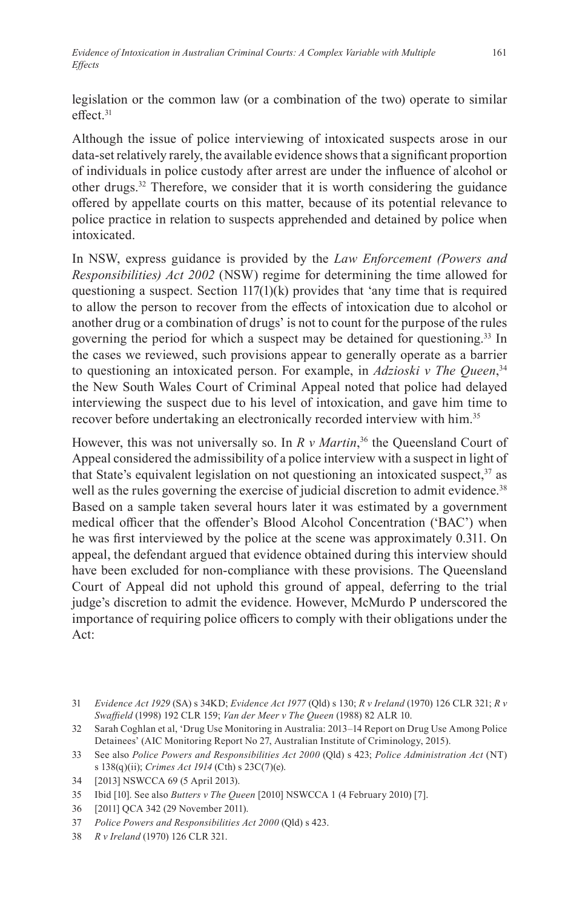legislation or the common law (or a combination of the two) operate to similar effect<sup>31</sup>

Although the issue of police interviewing of intoxicated suspects arose in our data-set relatively rarely, the available evidence shows that a significant proportion of individuals in police custody after arrest are under the influence of alcohol or other drugs.32 Therefore, we consider that it is worth considering the guidance offered by appellate courts on this matter, because of its potential relevance to police practice in relation to suspects apprehended and detained by police when intoxicated.

In NSW, express guidance is provided by the *Law Enforcement (Powers and Responsibilities) Act 2002* (NSW) regime for determining the time allowed for questioning a suspect. Section 117(1)(k) provides that 'any time that is required to allow the person to recover from the effects of intoxication due to alcohol or another drug or a combination of drugs' is not to count for the purpose of the rules governing the period for which a suspect may be detained for questioning.<sup>33</sup> In the cases we reviewed, such provisions appear to generally operate as a barrier to questioning an intoxicated person. For example, in *Adzioski v The Queen*, 34 the New South Wales Court of Criminal Appeal noted that police had delayed interviewing the suspect due to his level of intoxication, and gave him time to recover before undertaking an electronically recorded interview with him.<sup>35</sup>

However, this was not universally so. In *R v Martin*, <sup>36</sup> the Queensland Court of Appeal considered the admissibility of a police interview with a suspect in light of that State's equivalent legislation on not questioning an intoxicated suspect, $37$  as well as the rules governing the exercise of judicial discretion to admit evidence.<sup>38</sup> Based on a sample taken several hours later it was estimated by a government medical officer that the offender's Blood Alcohol Concentration ('BAC') when he was first interviewed by the police at the scene was approximately 0.311. On appeal, the defendant argued that evidence obtained during this interview should have been excluded for non-compliance with these provisions. The Queensland Court of Appeal did not uphold this ground of appeal, deferring to the trial judge's discretion to admit the evidence. However, McMurdo P underscored the importance of requiring police officers to comply with their obligations under the Act:

<sup>31</sup> *Evidence Act 1929* (SA) s 34KD; *Evidence Act 1977* (Qld) s 130; *R v Ireland* (1970) 126 CLR 321; *R v Swaffield* (1998) 192 CLR 159; *Van der Meer v The Queen* (1988) 82 ALR 10.

<sup>32</sup> Sarah Coghlan et al, 'Drug Use Monitoring in Australia: 2013–14 Report on Drug Use Among Police Detainees' (AIC Monitoring Report No 27, Australian Institute of Criminology, 2015).

<sup>33</sup> See also *Police Powers and Responsibilities Act 2000* (Qld) s 423; *Police Administration Act* (NT) s 138(q)(ii); *Crimes Act 1914* (Cth) s 23C(7)(e).

<sup>34</sup> [2013] NSWCCA 69 (5 April 2013).

<sup>35</sup> Ibid [10]. See also *Butters v The Queen* [2010] NSWCCA 1 (4 February 2010) [7].

<sup>36</sup> [2011] QCA 342 (29 November 2011).

<sup>37</sup> *Police Powers and Responsibilities Act 2000* (Qld) s 423.

<sup>38</sup> *R v Ireland* (1970) 126 CLR 321.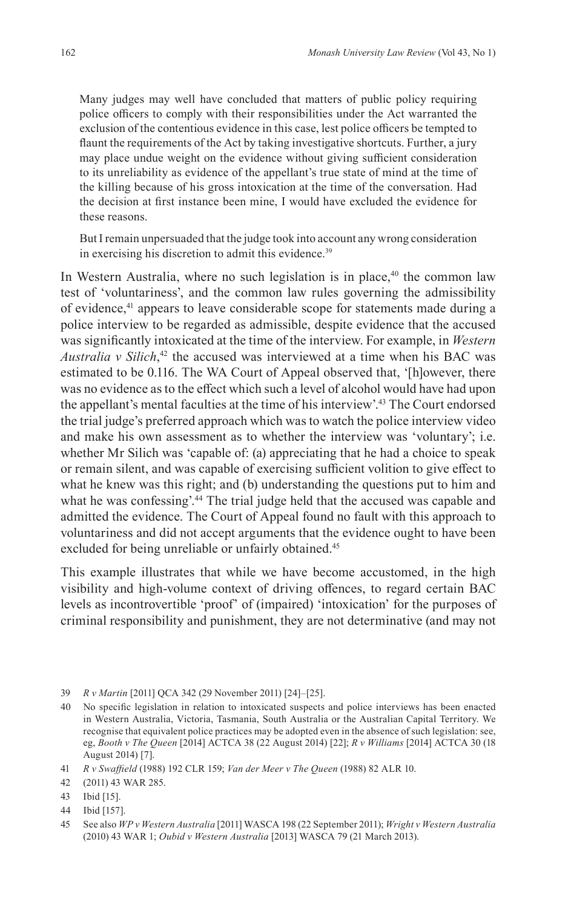Many judges may well have concluded that matters of public policy requiring police officers to comply with their responsibilities under the Act warranted the exclusion of the contentious evidence in this case, lest police officers be tempted to flaunt the requirements of the Act by taking investigative shortcuts. Further, a jury may place undue weight on the evidence without giving sufficient consideration to its unreliability as evidence of the appellant's true state of mind at the time of the killing because of his gross intoxication at the time of the conversation. Had the decision at first instance been mine, I would have excluded the evidence for these reasons.

But I remain unpersuaded that the judge took into account any wrong consideration in exercising his discretion to admit this evidence.<sup>39</sup>

In Western Australia, where no such legislation is in place, $40$  the common law test of 'voluntariness', and the common law rules governing the admissibility of evidence,<sup>41</sup> appears to leave considerable scope for statements made during a police interview to be regarded as admissible, despite evidence that the accused was significantly intoxicated at the time of the interview. For example, in *Western Australia v Silich*, 42 the accused was interviewed at a time when his BAC was estimated to be 0.116. The WA Court of Appeal observed that, '[h]owever, there was no evidence as to the effect which such a level of alcohol would have had upon the appellant's mental faculties at the time of his interview'.43 The Court endorsed the trial judge's preferred approach which was to watch the police interview video and make his own assessment as to whether the interview was 'voluntary'; i.e. whether Mr Silich was 'capable of: (a) appreciating that he had a choice to speak or remain silent, and was capable of exercising sufficient volition to give effect to what he knew was this right; and (b) understanding the questions put to him and what he was confessing'.<sup>44</sup> The trial judge held that the accused was capable and admitted the evidence. The Court of Appeal found no fault with this approach to voluntariness and did not accept arguments that the evidence ought to have been excluded for being unreliable or unfairly obtained.<sup>45</sup>

This example illustrates that while we have become accustomed, in the high visibility and high-volume context of driving offences, to regard certain BAC levels as incontrovertible 'proof' of (impaired) 'intoxication' for the purposes of criminal responsibility and punishment, they are not determinative (and may not

<sup>39</sup> *R v Martin* [2011] QCA 342 (29 November 2011) [24]–[25].

<sup>40</sup> No specific legislation in relation to intoxicated suspects and police interviews has been enacted in Western Australia, Victoria, Tasmania, South Australia or the Australian Capital Territory. We recognise that equivalent police practices may be adopted even in the absence of such legislation: see, eg, *Booth v The Queen* [2014] ACTCA 38 (22 August 2014) [22]; *R v Williams* [2014] ACTCA 30 (18 August 2014) [7].

<sup>41</sup> *R v Swaffield* (1988) 192 CLR 159; *Van der Meer v The Queen* (1988) 82 ALR 10.

<sup>42</sup> (2011) 43 WAR 285.

<sup>43</sup> Ibid [15].

<sup>44</sup> Ibid [157].

<sup>45</sup> See also *WP v Western Australia* [2011] WASCA 198 (22 September 2011); *Wright v Western Australia*  (2010) 43 WAR 1; *Oubid v Western Australia* [2013] WASCA 79 (21 March 2013).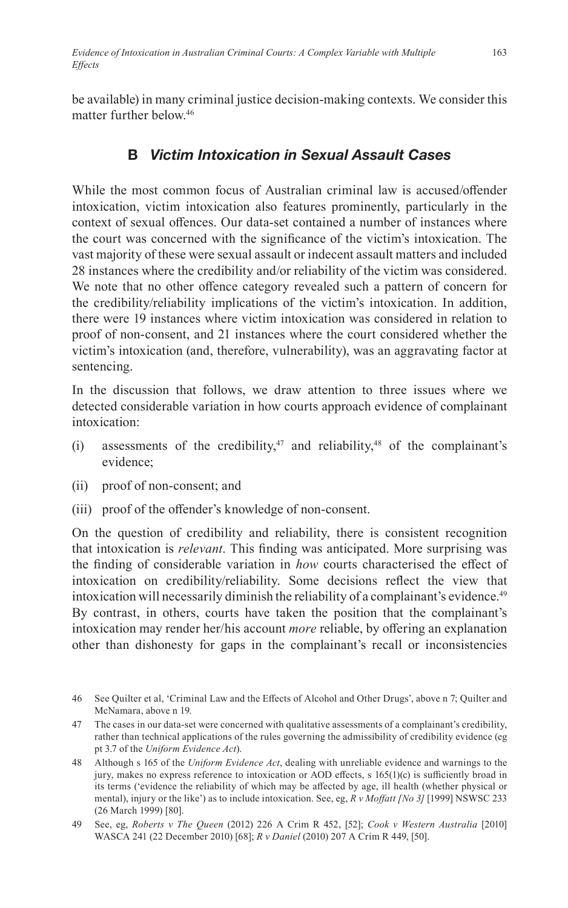be available) in many criminal justice decision-making contexts. We consider this matter further below<sup>46</sup>

# **B** *Victim Intoxication in Sexual Assault Cases*

While the most common focus of Australian criminal law is accused/offender intoxication, victim intoxication also features prominently, particularly in the context of sexual offences. Our data-set contained a number of instances where the court was concerned with the significance of the victim's intoxication. The vast majority of these were sexual assault or indecent assault matters and included 28 instances where the credibility and/or reliability of the victim was considered. We note that no other offence category revealed such a pattern of concern for the credibility/reliability implications of the victim's intoxication. In addition, there were 19 instances where victim intoxication was considered in relation to proof of non-consent, and 21 instances where the court considered whether the victim's intoxication (and, therefore, vulnerability), was an aggravating factor at sentencing.

In the discussion that follows, we draw attention to three issues where we detected considerable variation in how courts approach evidence of complainant intoxication:

- (i) assessments of the credibility,<sup>47</sup> and reliability,<sup>48</sup> of the complainant's evidence;
- (ii) proof of non-consent; and
- (iii) proof of the offender's knowledge of non-consent.

On the question of credibility and reliability, there is consistent recognition that intoxication is *relevant*. This finding was anticipated. More surprising was the finding of considerable variation in *how* courts characterised the effect of intoxication on credibility/reliability. Some decisions reflect the view that intoxication will necessarily diminish the reliability of a complainant's evidence.<sup>49</sup> By contrast, in others, courts have taken the position that the complainant's intoxication may render her/his account *more* reliable, by offering an explanation other than dishonesty for gaps in the complainant's recall or inconsistencies

<sup>46</sup> See Quilter et al, 'Criminal Law and the Effects of Alcohol and Other Drugs', above n 7; Quilter and McNamara, above n 19.

<sup>47</sup> The cases in our data-set were concerned with qualitative assessments of a complainant's credibility, rather than technical applications of the rules governing the admissibility of credibility evidence (eg pt 3.7 of the *Uniform Evidence Act*).

<sup>48</sup> Although s 165 of the *Uniform Evidence Act*, dealing with unreliable evidence and warnings to the jury, makes no express reference to intoxication or AOD effects, s 165(1)(c) is sufficiently broad in its terms ('evidence the reliability of which may be affected by age, ill health (whether physical or mental), injury or the like') as to include intoxication. See, eg, *R v Moffatt [No 3]* [1999] NSWSC 233 (26 March 1999) [80].

<sup>49</sup> See, eg, *Roberts v The Queen* (2012) 226 A Crim R 452, [52]; *Cook v Western Australia* [2010] WASCA 241 (22 December 2010) [68]; *R v Daniel* (2010) 207 A Crim R 449, [50].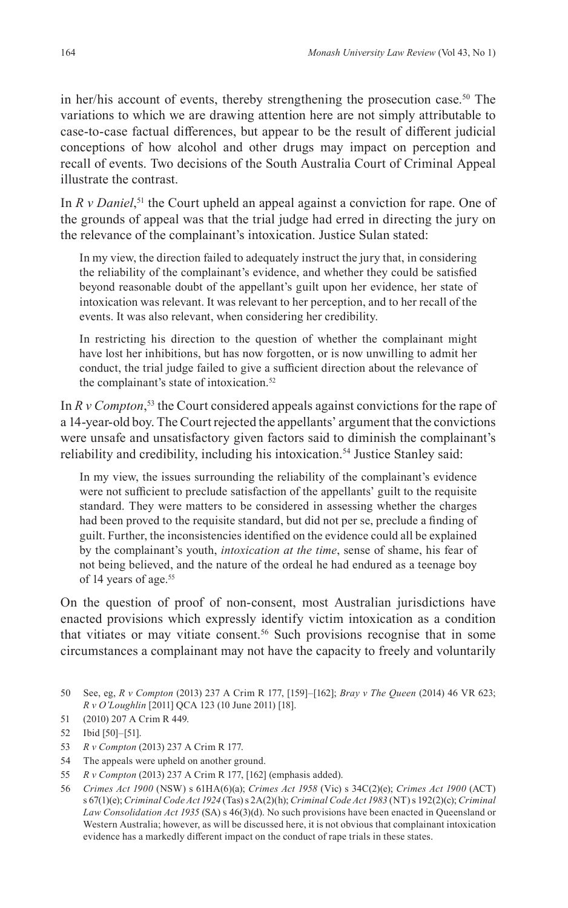in her/his account of events, thereby strengthening the prosecution case.<sup>50</sup> The variations to which we are drawing attention here are not simply attributable to case-to-case factual differences, but appear to be the result of different judicial conceptions of how alcohol and other drugs may impact on perception and recall of events. Two decisions of the South Australia Court of Criminal Appeal illustrate the contrast.

In *R v Daniel*, <sup>51</sup> the Court upheld an appeal against a conviction for rape. One of the grounds of appeal was that the trial judge had erred in directing the jury on the relevance of the complainant's intoxication. Justice Sulan stated:

In my view, the direction failed to adequately instruct the jury that, in considering the reliability of the complainant's evidence, and whether they could be satisfied beyond reasonable doubt of the appellant's guilt upon her evidence, her state of intoxication was relevant. It was relevant to her perception, and to her recall of the events. It was also relevant, when considering her credibility.

In restricting his direction to the question of whether the complainant might have lost her inhibitions, but has now forgotten, or is now unwilling to admit her conduct, the trial judge failed to give a sufficient direction about the relevance of the complainant's state of intoxication.<sup>52</sup>

In *R v Compton*, 53 the Court considered appeals against convictions for the rape of a 14-year-old boy. The Court rejected the appellants' argument that the convictions were unsafe and unsatisfactory given factors said to diminish the complainant's reliability and credibility, including his intoxication.<sup>54</sup> Justice Stanley said:

In my view, the issues surrounding the reliability of the complainant's evidence were not sufficient to preclude satisfaction of the appellants' guilt to the requisite standard. They were matters to be considered in assessing whether the charges had been proved to the requisite standard, but did not per se, preclude a finding of guilt. Further, the inconsistencies identified on the evidence could all be explained by the complainant's youth, *intoxication at the time*, sense of shame, his fear of not being believed, and the nature of the ordeal he had endured as a teenage boy of 14 years of age.<sup>55</sup>

On the question of proof of non-consent, most Australian jurisdictions have enacted provisions which expressly identify victim intoxication as a condition that vitiates or may vitiate consent.56 Such provisions recognise that in some circumstances a complainant may not have the capacity to freely and voluntarily

- 51 (2010) 207 A Crim R 449.
- 52 Ibid [50]–[51].
- 53 *R v Compton* (2013) 237 A Crim R 177.
- 54 The appeals were upheld on another ground.
- 55 *R v Compton* (2013) 237 A Crim R 177, [162] (emphasis added).
- 56 *Crimes Act 1900* (NSW) s 61HA(6)(a); *Crimes Act 1958* (Vic) s 34C(2)(e); *Crimes Act 1900* (ACT) s 67(1)(e); *Criminal Code Act 1924* (Tas) s 2A(2)(h); *Criminal Code Act 1983* (NT) s 192(2)(c); *Criminal Law Consolidation Act 1935* (SA) s 46(3)(d). No such provisions have been enacted in Queensland or Western Australia; however, as will be discussed here, it is not obvious that complainant intoxication evidence has a markedly different impact on the conduct of rape trials in these states.

<sup>50</sup> See, eg, *R v Compton* (2013) 237 A Crim R 177, [159]–[162]; *Bray v The Queen* (2014) 46 VR 623; *R v O'Loughlin* [2011] QCA 123 (10 June 2011) [18].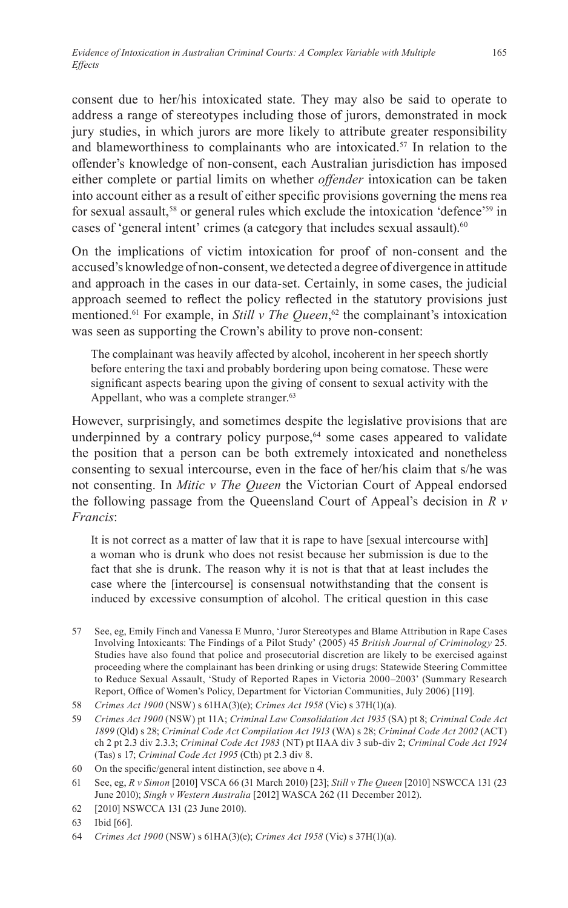consent due to her/his intoxicated state. They may also be said to operate to address a range of stereotypes including those of jurors, demonstrated in mock jury studies, in which jurors are more likely to attribute greater responsibility and blameworthiness to complainants who are intoxicated.<sup>57</sup> In relation to the offender's knowledge of non-consent, each Australian jurisdiction has imposed either complete or partial limits on whether *offender* intoxication can be taken into account either as a result of either specific provisions governing the mens rea for sexual assault,<sup>58</sup> or general rules which exclude the intoxication 'defence'<sup>59</sup> in cases of 'general intent' crimes (a category that includes sexual assault).<sup>60</sup>

On the implications of victim intoxication for proof of non-consent and the accused's knowledge of non-consent, we detected a degree of divergence in attitude and approach in the cases in our data-set. Certainly, in some cases, the judicial approach seemed to reflect the policy reflected in the statutory provisions just mentioned.61 For example, in *Still v The Queen*, 62 the complainant's intoxication was seen as supporting the Crown's ability to prove non-consent:

The complainant was heavily affected by alcohol, incoherent in her speech shortly before entering the taxi and probably bordering upon being comatose. These were significant aspects bearing upon the giving of consent to sexual activity with the Appellant, who was a complete stranger.<sup>63</sup>

However, surprisingly, and sometimes despite the legislative provisions that are underpinned by a contrary policy purpose,<sup>64</sup> some cases appeared to validate the position that a person can be both extremely intoxicated and nonetheless consenting to sexual intercourse, even in the face of her/his claim that s/he was not consenting. In *Mitic v The Queen* the Victorian Court of Appeal endorsed the following passage from the Queensland Court of Appeal's decision in *R v Francis*:

It is not correct as a matter of law that it is rape to have [sexual intercourse with] a woman who is drunk who does not resist because her submission is due to the fact that she is drunk. The reason why it is not is that that at least includes the case where the [intercourse] is consensual notwithstanding that the consent is induced by excessive consumption of alcohol. The critical question in this case

- 57 See, eg, Emily Finch and Vanessa E Munro, 'Juror Stereotypes and Blame Attribution in Rape Cases Involving Intoxicants: The Findings of a Pilot Study' (2005) 45 *British Journal of Criminology* 25. Studies have also found that police and prosecutorial discretion are likely to be exercised against proceeding where the complainant has been drinking or using drugs: Statewide Steering Committee to Reduce Sexual Assault, 'Study of Reported Rapes in Victoria 2000–2003' (Summary Research Report, Office of Women's Policy, Department for Victorian Communities, July 2006) [119].
- 58 *Crimes Act 1900* (NSW) s 61HA(3)(e); *Crimes Act 1958* (Vic) s 37H(1)(a).
- 59 *Crimes Act 1900* (NSW) pt 11A; *Criminal Law Consolidation Act 1935* (SA) pt 8; *Criminal Code Act 1899* (Qld) s 28; *Criminal Code Act Compilation Act 1913* (WA) s 28; *Criminal Code Act 2002* (ACT) ch 2 pt 2.3 div 2.3.3; *Criminal Code Act 1983* (NT) pt IIAA div 3 sub-div 2; *Criminal Code Act 1924* (Tas) s 17; *Criminal Code Act 1995* (Cth) pt 2.3 div 8.
- 60 On the specific/general intent distinction, see above n 4.
- 61 See, eg, *R v Simon* [2010] VSCA 66 (31 March 2010) [23]; *Still v The Queen* [2010] NSWCCA 131 (23 June 2010); *Singh v Western Australia* [2012] WASCA 262 (11 December 2012).
- 62 [2010] NSWCCA 131 (23 June 2010).
- 63 Ibid [66].
- 64 *Crimes Act 1900* (NSW) s 61HA(3)(e); *Crimes Act 1958* (Vic) s 37H(1)(a).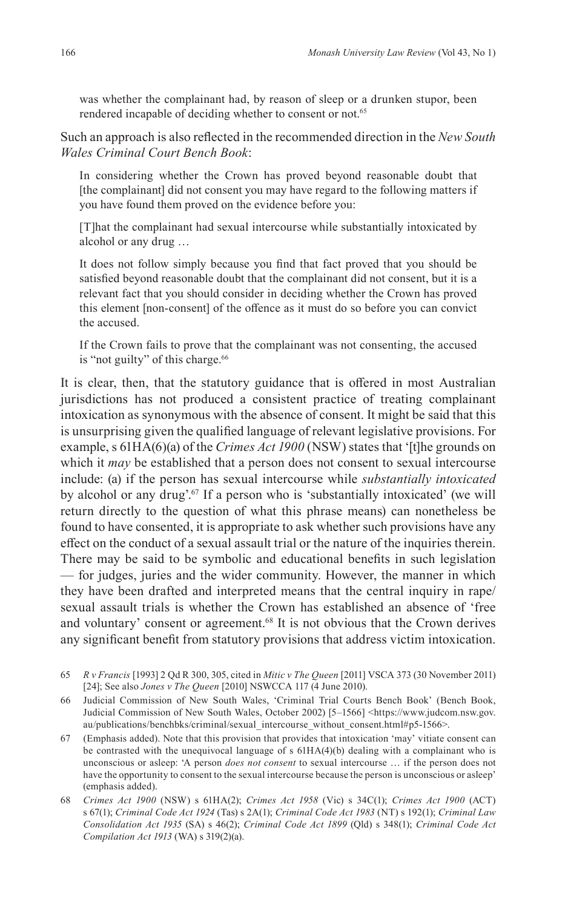was whether the complainant had, by reason of sleep or a drunken stupor, been rendered incapable of deciding whether to consent or not.<sup>65</sup>

Such an approach is also reflected in the recommended direction in the *New South Wales Criminal Court Bench Book*:

In considering whether the Crown has proved beyond reasonable doubt that [the complainant] did not consent you may have regard to the following matters if you have found them proved on the evidence before you:

[T]hat the complainant had sexual intercourse while substantially intoxicated by alcohol or any drug …

It does not follow simply because you find that fact proved that you should be satisfied beyond reasonable doubt that the complainant did not consent, but it is a relevant fact that you should consider in deciding whether the Crown has proved this element [non-consent] of the offence as it must do so before you can convict the accused.

If the Crown fails to prove that the complainant was not consenting, the accused is "not guilty" of this charge.<sup>66</sup>

It is clear, then, that the statutory guidance that is offered in most Australian jurisdictions has not produced a consistent practice of treating complainant intoxication as synonymous with the absence of consent. It might be said that this is unsurprising given the qualified language of relevant legislative provisions. For example, s 61HA(6)(a) of the *Crimes Act 1900* (NSW) states that '[t]he grounds on which it *may* be established that a person does not consent to sexual intercourse include: (a) if the person has sexual intercourse while *substantially intoxicated* by alcohol or any drug'.67 If a person who is 'substantially intoxicated' (we will return directly to the question of what this phrase means) can nonetheless be found to have consented, it is appropriate to ask whether such provisions have any effect on the conduct of a sexual assault trial or the nature of the inquiries therein. There may be said to be symbolic and educational benefits in such legislation — for judges, juries and the wider community. However, the manner in which they have been drafted and interpreted means that the central inquiry in rape/ sexual assault trials is whether the Crown has established an absence of 'free and voluntary' consent or agreement.<sup>68</sup> It is not obvious that the Crown derives any significant benefit from statutory provisions that address victim intoxication.

<sup>65</sup> *R v Francis* [1993] 2 Qd R 300, 305, cited in *Mitic v The Queen* [2011] VSCA 373 (30 November 2011) [24]; See also *Jones v The Queen* [2010] NSWCCA 117 (4 June 2010).

<sup>66</sup> Judicial Commission of New South Wales, 'Criminal Trial Courts Bench Book' (Bench Book, Judicial Commission of New South Wales, October 2002) [5-1566] <https://www.judcom.nsw.gov. au/publications/benchbks/criminal/sexual\_intercourse\_without\_consent.html#p5-1566>.

<sup>67</sup> (Emphasis added). Note that this provision that provides that intoxication 'may' vitiate consent can be contrasted with the unequivocal language of s  $61HA(4)(b)$  dealing with a complainant who is unconscious or asleep: 'A person *does not consent* to sexual intercourse … if the person does not have the opportunity to consent to the sexual intercourse because the person is unconscious or asleep' (emphasis added).

<sup>68</sup> *Crimes Act 1900* (NSW) s 61HA(2); *Crimes Act 1958* (Vic) s 34C(1); *Crimes Act 1900* (ACT) s 67(1); *Criminal Code Act 1924* (Tas) s 2A(1); *Criminal Code Act 1983* (NT) s 192(1); *Criminal Law Consolidation Act 1935* (SA) s 46(2); *Criminal Code Act 1899* (Qld) s 348(1); *Criminal Code Act Compilation Act 1913* (WA) s 319(2)(a).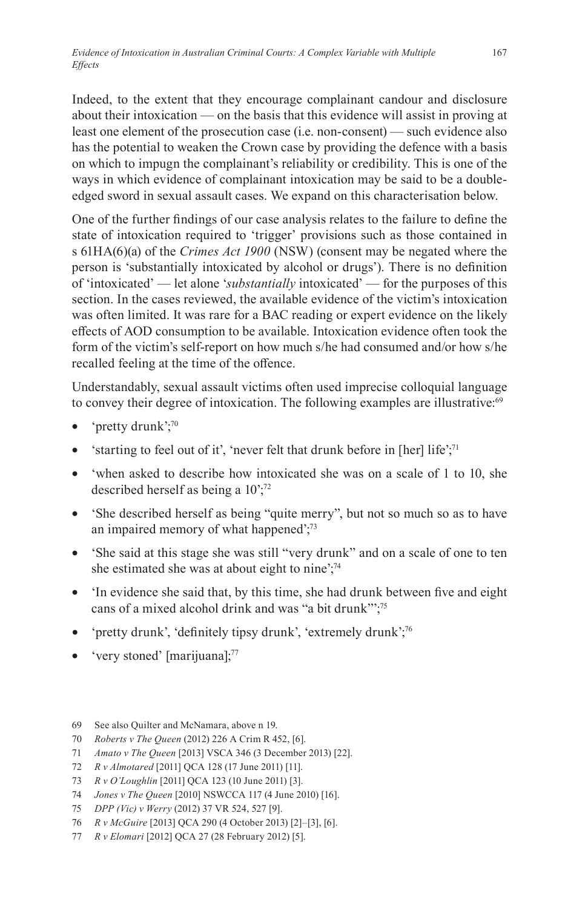Indeed, to the extent that they encourage complainant candour and disclosure about their intoxication — on the basis that this evidence will assist in proving at least one element of the prosecution case (i.e. non-consent) — such evidence also has the potential to weaken the Crown case by providing the defence with a basis on which to impugn the complainant's reliability or credibility. This is one of the ways in which evidence of complainant intoxication may be said to be a doubleedged sword in sexual assault cases. We expand on this characterisation below.

One of the further findings of our case analysis relates to the failure to define the state of intoxication required to 'trigger' provisions such as those contained in s 61HA(6)(a) of the *Crimes Act 1900* (NSW) (consent may be negated where the person is 'substantially intoxicated by alcohol or drugs'). There is no definition of 'intoxicated' — let alone '*substantially* intoxicated' — for the purposes of this section. In the cases reviewed, the available evidence of the victim's intoxication was often limited. It was rare for a BAC reading or expert evidence on the likely effects of AOD consumption to be available. Intoxication evidence often took the form of the victim's self-report on how much s/he had consumed and/or how s/he recalled feeling at the time of the offence.

Understandably, sexual assault victims often used imprecise colloquial language to convey their degree of intoxication. The following examples are illustrative:<sup>69</sup>

- 'pretty drunk';70
- <sup>'</sup>starting to feel out of it', 'never felt that drunk before in [her] life';<sup>71</sup>
- 'when asked to describe how intoxicated she was on a scale of 1 to 10, she described herself as being a 10';72
- 'She described herself as being "quite merry", but not so much so as to have an impaired memory of what happened';73
- 'She said at this stage she was still "very drunk" and on a scale of one to ten she estimated she was at about eight to nine';<sup>74</sup>
- 'In evidence she said that, by this time, she had drunk between five and eight cans of a mixed alcohol drink and was "a bit drunk"';75
- 'pretty drunk', 'definitely tipsy drunk', 'extremely drunk';<sup>76</sup>
- very stoned' [marijuana];<sup>77</sup>

<sup>69</sup> See also Quilter and McNamara, above n 19.

<sup>70</sup> *Roberts v The Queen* (2012) 226 A Crim R 452, [6].

<sup>71</sup> *Amato v The Queen* [2013] VSCA 346 (3 December 2013) [22].

<sup>72</sup> *R v Almotared* [2011] QCA 128 (17 June 2011) [11].

<sup>73</sup> *R v O'Loughlin* [2011] QCA 123 (10 June 2011) [3].

<sup>74</sup> *Jones v The Queen* [2010] NSWCCA 117 (4 June 2010) [16].

<sup>75</sup> *DPP (Vic) v Werry* (2012) 37 VR 524, 527 [9].

<sup>76</sup> *R v McGuire* [2013] QCA 290 (4 October 2013) [2]–[3], [6].

<sup>77</sup> *R v Elomari* [2012] QCA 27 (28 February 2012) [5].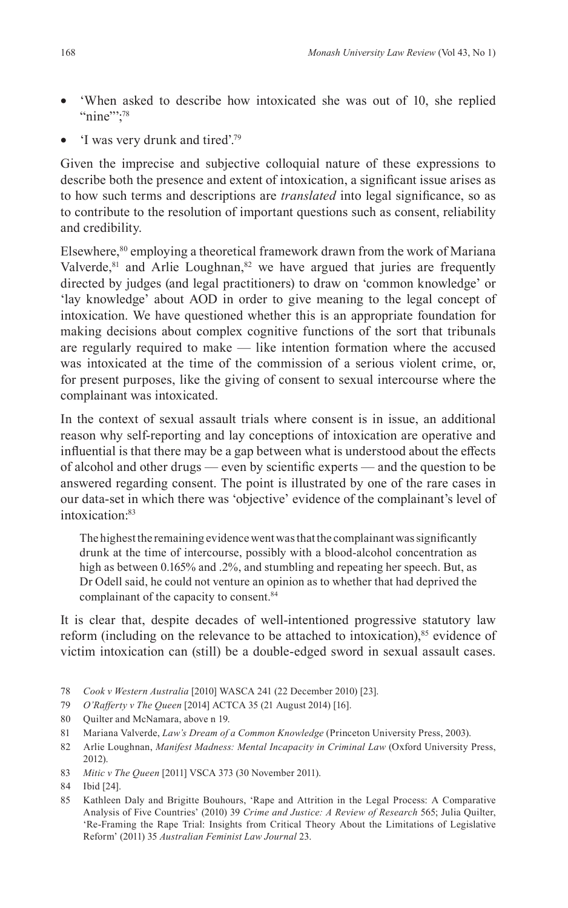- 'When asked to describe how intoxicated she was out of 10, she replied "nine"";<sup>78</sup>
- $\Gamma$  was very drunk and tired'.<sup>79</sup>

Given the imprecise and subjective colloquial nature of these expressions to describe both the presence and extent of intoxication, a significant issue arises as to how such terms and descriptions are *translated* into legal significance, so as to contribute to the resolution of important questions such as consent, reliability and credibility.

Elsewhere,<sup>80</sup> employing a theoretical framework drawn from the work of Mariana Valverde, $81$  and Arlie Loughnan, $82$  we have argued that juries are frequently directed by judges (and legal practitioners) to draw on 'common knowledge' or 'lay knowledge' about AOD in order to give meaning to the legal concept of intoxication. We have questioned whether this is an appropriate foundation for making decisions about complex cognitive functions of the sort that tribunals are regularly required to make — like intention formation where the accused was intoxicated at the time of the commission of a serious violent crime, or, for present purposes, like the giving of consent to sexual intercourse where the complainant was intoxicated.

In the context of sexual assault trials where consent is in issue, an additional reason why self-reporting and lay conceptions of intoxication are operative and influential is that there may be a gap between what is understood about the effects of alcohol and other drugs — even by scientific experts — and the question to be answered regarding consent. The point is illustrated by one of the rare cases in our data-set in which there was 'objective' evidence of the complainant's level of intoxication:83

The highest the remaining evidence went was that the complainant was significantly drunk at the time of intercourse, possibly with a blood-alcohol concentration as high as between 0.165% and .2%, and stumbling and repeating her speech. But, as Dr Odell said, he could not venture an opinion as to whether that had deprived the complainant of the capacity to consent.<sup>84</sup>

It is clear that, despite decades of well-intentioned progressive statutory law reform (including on the relevance to be attached to intoxication),<sup>85</sup> evidence of victim intoxication can (still) be a double-edged sword in sexual assault cases.

- 78 *Cook v Western Australia* [2010] WASCA 241 (22 December 2010) [23].
- 79 *O'Rafferty v The Queen* [2014] ACTCA 35 (21 August 2014) [16].
- 80 Quilter and McNamara, above n 19.
- 81 Mariana Valverde, *Law's Dream of a Common Knowledge* (Princeton University Press, 2003).
- 82 Arlie Loughnan, *Manifest Madness: Mental Incapacity in Criminal Law* (Oxford University Press, 2012).
- 83 *Mitic v The Queen* [2011] VSCA 373 (30 November 2011).
- 84 Ibid [24].
- 85 Kathleen Daly and Brigitte Bouhours, 'Rape and Attrition in the Legal Process: A Comparative Analysis of Five Countries' (2010) 39 *Crime and Justice: A Review of Research* 565; Julia Quilter, 'Re-Framing the Rape Trial: Insights from Critical Theory About the Limitations of Legislative Reform' (2011) 35 *Australian Feminist Law Journal* 23.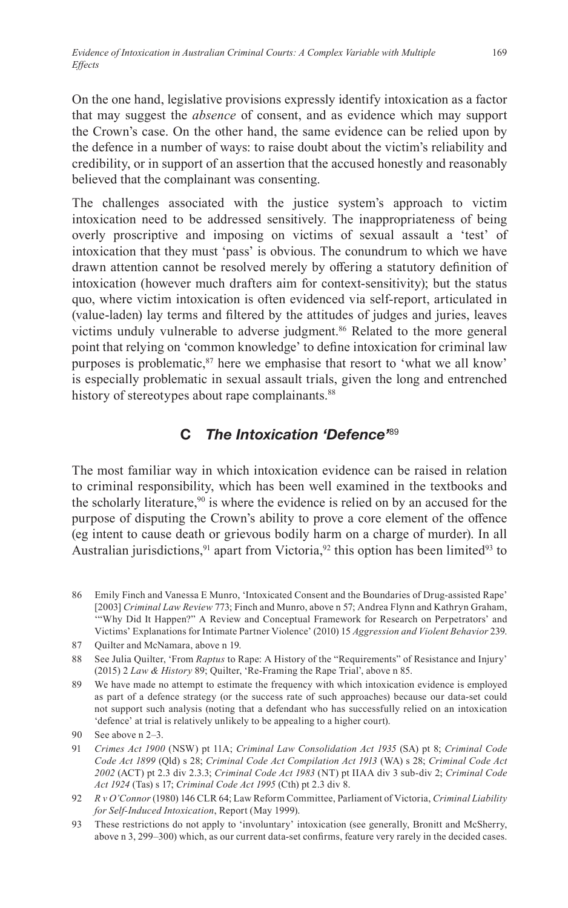On the one hand, legislative provisions expressly identify intoxication as a factor that may suggest the *absence* of consent, and as evidence which may support the Crown's case. On the other hand, the same evidence can be relied upon by the defence in a number of ways: to raise doubt about the victim's reliability and credibility, or in support of an assertion that the accused honestly and reasonably believed that the complainant was consenting.

The challenges associated with the justice system's approach to victim intoxication need to be addressed sensitively. The inappropriateness of being overly proscriptive and imposing on victims of sexual assault a 'test' of intoxication that they must 'pass' is obvious. The conundrum to which we have drawn attention cannot be resolved merely by offering a statutory definition of intoxication (however much drafters aim for context-sensitivity); but the status quo, where victim intoxication is often evidenced via self-report, articulated in (value-laden) lay terms and filtered by the attitudes of judges and juries, leaves victims unduly vulnerable to adverse judgment.<sup>86</sup> Related to the more general point that relying on 'common knowledge' to define intoxication for criminal law purposes is problematic,<sup>87</sup> here we emphasise that resort to 'what we all know' is especially problematic in sexual assault trials, given the long and entrenched history of stereotypes about rape complainants.<sup>88</sup>

### **C** *The Intoxication 'Defence'*<sup>89</sup>

The most familiar way in which intoxication evidence can be raised in relation to criminal responsibility, which has been well examined in the textbooks and the scholarly literature,  $90$  is where the evidence is relied on by an accused for the purpose of disputing the Crown's ability to prove a core element of the offence (eg intent to cause death or grievous bodily harm on a charge of murder). In all Australian jurisdictions,<sup>91</sup> apart from Victoria,<sup>92</sup> this option has been limited<sup>93</sup> to

86 Emily Finch and Vanessa E Munro, 'Intoxicated Consent and the Boundaries of Drug-assisted Rape' [2003] *Criminal Law Review* 773; Finch and Munro, above n 57; Andrea Flynn and Kathryn Graham, '"Why Did It Happen?" A Review and Conceptual Framework for Research on Perpetrators' and Victims' Explanations for Intimate Partner Violence' (2010) 15 *Aggression and Violent Behavior* 239.

87 Quilter and McNamara, above n 19.

88 See Julia Quilter, 'From *Raptus* to Rape: A History of the "Requirements" of Resistance and Injury' (2015) 2 *Law & History* 89; Quilter, 'Re-Framing the Rape Trial', above n 85.

89 We have made no attempt to estimate the frequency with which intoxication evidence is employed as part of a defence strategy (or the success rate of such approaches) because our data-set could not support such analysis (noting that a defendant who has successfully relied on an intoxication 'defence' at trial is relatively unlikely to be appealing to a higher court).

<sup>90</sup> See above n 2–3.

<sup>91</sup> *Crimes Act 1900* (NSW) pt 11A; *Criminal Law Consolidation Act 1935* (SA) pt 8; *Criminal Code Code Act 1899* (Qld) s 28; *Criminal Code Act Compilation Act 1913* (WA) s 28; *Criminal Code Act 2002* (ACT) pt 2.3 div 2.3.3; *Criminal Code Act 1983* (NT) pt IIAA div 3 sub-div 2; *Criminal Code Act 1924* (Tas) s 17; *Criminal Code Act 1995* (Cth) pt 2.3 div 8.

<sup>92</sup> *R v O'Connor*(1980) 146 CLR 64; Law Reform Committee, Parliament of Victoria, *Criminal Liability for Self-Induced Intoxication*, Report (May 1999).

<sup>93</sup> These restrictions do not apply to 'involuntary' intoxication (see generally, Bronitt and McSherry, above n 3, 299–300) which, as our current data-set confirms, feature very rarely in the decided cases.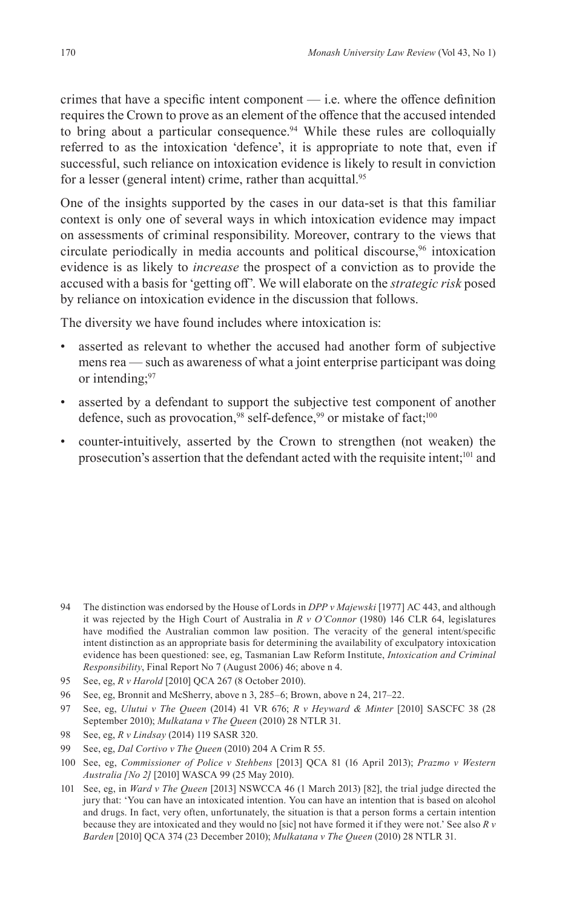crimes that have a specific intent component — i.e. where the offence definition requires the Crown to prove as an element of the offence that the accused intended to bring about a particular consequence.<sup>94</sup> While these rules are colloquially referred to as the intoxication 'defence', it is appropriate to note that, even if successful, such reliance on intoxication evidence is likely to result in conviction for a lesser (general intent) crime, rather than acquittal.<sup>95</sup>

One of the insights supported by the cases in our data-set is that this familiar context is only one of several ways in which intoxication evidence may impact on assessments of criminal responsibility. Moreover, contrary to the views that circulate periodically in media accounts and political discourse,<sup>96</sup> intoxication evidence is as likely to *increase* the prospect of a conviction as to provide the accused with a basis for 'getting off'. We will elaborate on the *strategic risk* posed by reliance on intoxication evidence in the discussion that follows.

The diversity we have found includes where intoxication is:

- asserted as relevant to whether the accused had another form of subjective mens rea — such as awareness of what a joint enterprise participant was doing or intending;<sup>97</sup>
- asserted by a defendant to support the subjective test component of another defence, such as provocation,<sup>98</sup> self-defence,<sup>99</sup> or mistake of fact;<sup>100</sup>
- counter-intuitively, asserted by the Crown to strengthen (not weaken) the prosecution's assertion that the defendant acted with the requisite intent;101 and

- 94 The distinction was endorsed by the House of Lords in *DPP v Majewski* [1977] AC 443, and although it was rejected by the High Court of Australia in *R v O'Connor* (1980) 146 CLR 64, legislatures have modified the Australian common law position. The veracity of the general intent/specific intent distinction as an appropriate basis for determining the availability of exculpatory intoxication evidence has been questioned: see, eg, Tasmanian Law Reform Institute, *Intoxication and Criminal Responsibility*, Final Report No 7 (August 2006) 46; above n 4.
- 95 See, eg, *R v Harold* [2010] QCA 267 (8 October 2010).
- 96 See, eg, Bronnit and McSherry, above n 3, 285–6; Brown, above n 24, 217–22.
- 97 See, eg, *Ulutui v The Queen* (2014) 41 VR 676; *R v Heyward & Minter* [2010] SASCFC 38 (28 September 2010); *Mulkatana v The Queen* (2010) 28 NTLR 31.
- 98 See, eg, *R v Lindsay* (2014) 119 SASR 320.
- 99 See, eg, *Dal Cortivo v The Queen* (2010) 204 A Crim R 55.
- 100 See, eg, *Commissioner of Police v Stehbens* [2013] QCA 81 (16 April 2013); *Prazmo v Western Australia [No 2]* [2010] WASCA 99 (25 May 2010).
- 101 See, eg, in *Ward v The Queen* [2013] NSWCCA 46 (1 March 2013) [82], the trial judge directed the jury that: 'You can have an intoxicated intention. You can have an intention that is based on alcohol and drugs. In fact, very often, unfortunately, the situation is that a person forms a certain intention because they are intoxicated and they would no [sic] not have formed it if they were not.' See also *R v Barden* [2010] QCA 374 (23 December 2010); *Mulkatana v The Queen* (2010) 28 NTLR 31.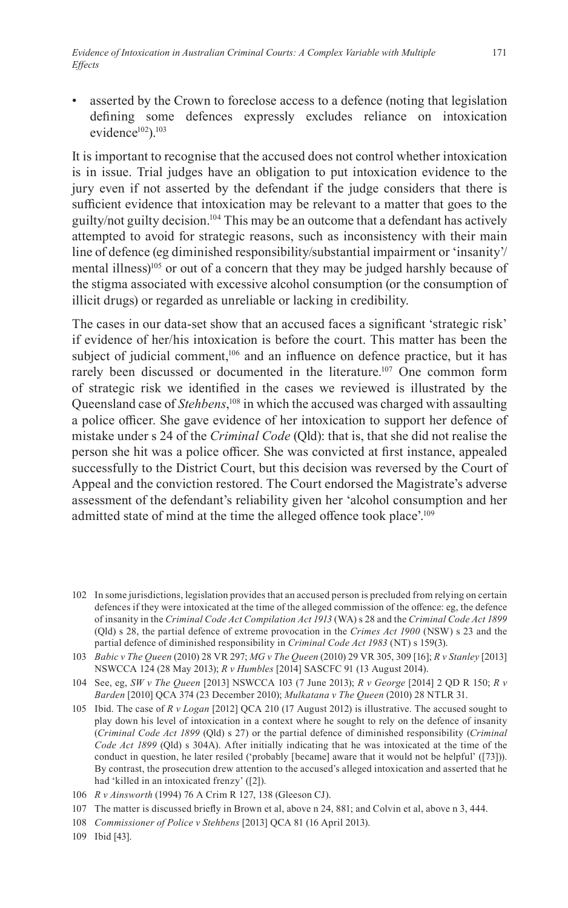• asserted by the Crown to foreclose access to a defence (noting that legislation defining some defences expressly excludes reliance on intoxication evidence<sup>102</sup>).<sup>103</sup>

It is important to recognise that the accused does not control whether intoxication is in issue. Trial judges have an obligation to put intoxication evidence to the jury even if not asserted by the defendant if the judge considers that there is sufficient evidence that intoxication may be relevant to a matter that goes to the guilty/not guilty decision.<sup>104</sup> This may be an outcome that a defendant has actively attempted to avoid for strategic reasons, such as inconsistency with their main line of defence (eg diminished responsibility/substantial impairment or 'insanity'/ mental illness)<sup>105</sup> or out of a concern that they may be judged harshly because of the stigma associated with excessive alcohol consumption (or the consumption of illicit drugs) or regarded as unreliable or lacking in credibility.

The cases in our data-set show that an accused faces a significant 'strategic risk' if evidence of her/his intoxication is before the court. This matter has been the subject of judicial comment,<sup>106</sup> and an influence on defence practice, but it has rarely been discussed or documented in the literature.<sup>107</sup> One common form of strategic risk we identified in the cases we reviewed is illustrated by the Queensland case of *Stehbens*, <sup>108</sup> in which the accused was charged with assaulting a police officer. She gave evidence of her intoxication to support her defence of mistake under s 24 of the *Criminal Code* (Qld): that is, that she did not realise the person she hit was a police officer. She was convicted at first instance, appealed successfully to the District Court, but this decision was reversed by the Court of Appeal and the conviction restored. The Court endorsed the Magistrate's adverse assessment of the defendant's reliability given her 'alcohol consumption and her admitted state of mind at the time the alleged offence took place'.<sup>109</sup>

<sup>102</sup> In some jurisdictions, legislation provides that an accused person is precluded from relying on certain defences if they were intoxicated at the time of the alleged commission of the offence: eg, the defence of insanity in the *Criminal Code Act Compilation Act 1913* (WA) s 28 and the *Criminal Code Act 1899*  (Qld) s 28, the partial defence of extreme provocation in the *Crimes Act 1900* (NSW) s 23 and the partial defence of diminished responsibility in *Criminal Code Act 1983* (NT) s 159(3).

<sup>103</sup> *Babic v The Queen* (2010) 28 VR 297; *MG v The Queen* (2010) 29 VR 305, 309 [16]; *R v Stanley* [2013] NSWCCA 124 (28 May 2013); *R v Humbles* [2014] SASCFC 91 (13 August 2014).

<sup>104</sup> See, eg, *SW v The Queen* [2013] NSWCCA 103 (7 June 2013); *R v George* [2014] 2 QD R 150; *R v Barden* [2010] QCA 374 (23 December 2010); *Mulkatana v The Queen* (2010) 28 NTLR 31.

<sup>105</sup> Ibid. The case of *R v Logan* [2012] QCA 210 (17 August 2012) is illustrative. The accused sought to play down his level of intoxication in a context where he sought to rely on the defence of insanity (*Criminal Code Act 1899* (Qld) s 27) or the partial defence of diminished responsibility (*Criminal Code Act 1899* (Qld) s 304A). After initially indicating that he was intoxicated at the time of the conduct in question, he later resiled ('probably [became] aware that it would not be helpful' ([73])). By contrast, the prosecution drew attention to the accused's alleged intoxication and asserted that he had 'killed in an intoxicated frenzy' ([2]).

<sup>106</sup> *R v Ainsworth* (1994) 76 A Crim R 127, 138 (Gleeson CJ).

<sup>107</sup> The matter is discussed briefly in Brown et al, above n 24, 881; and Colvin et al, above n 3, 444.

<sup>108</sup> *Commissioner of Police v Stehbens* [2013] QCA 81 (16 April 2013).

<sup>109</sup> Ibid [43].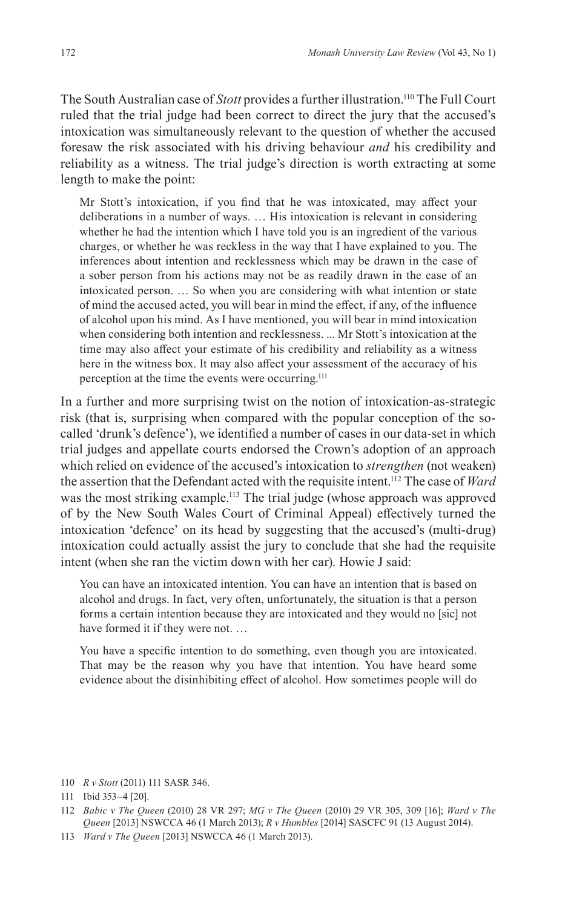The South Australian case of *Stott* provides a further illustration.110 The Full Court ruled that the trial judge had been correct to direct the jury that the accused's intoxication was simultaneously relevant to the question of whether the accused foresaw the risk associated with his driving behaviour *and* his credibility and reliability as a witness. The trial judge's direction is worth extracting at some length to make the point:

Mr Stott's intoxication, if you find that he was intoxicated, may affect your deliberations in a number of ways. … His intoxication is relevant in considering whether he had the intention which I have told you is an ingredient of the various charges, or whether he was reckless in the way that I have explained to you. The inferences about intention and recklessness which may be drawn in the case of a sober person from his actions may not be as readily drawn in the case of an intoxicated person. … So when you are considering with what intention or state of mind the accused acted, you will bear in mind the effect, if any, of the influence of alcohol upon his mind. As I have mentioned, you will bear in mind intoxication when considering both intention and recklessness. ... Mr Stott's intoxication at the time may also affect your estimate of his credibility and reliability as a witness here in the witness box. It may also affect your assessment of the accuracy of his perception at the time the events were occurring.<sup>111</sup>

In a further and more surprising twist on the notion of intoxication-as-strategic risk (that is, surprising when compared with the popular conception of the socalled 'drunk's defence'), we identified a number of cases in our data-set in which trial judges and appellate courts endorsed the Crown's adoption of an approach which relied on evidence of the accused's intoxication to *strengthen* (not weaken) the assertion that the Defendant acted with the requisite intent.112 The case of *Ward* was the most striking example.113 The trial judge (whose approach was approved of by the New South Wales Court of Criminal Appeal) effectively turned the intoxication 'defence' on its head by suggesting that the accused's (multi-drug) intoxication could actually assist the jury to conclude that she had the requisite intent (when she ran the victim down with her car). Howie J said:

You can have an intoxicated intention. You can have an intention that is based on alcohol and drugs. In fact, very often, unfortunately, the situation is that a person forms a certain intention because they are intoxicated and they would no [sic] not have formed it if they were not. …

You have a specific intention to do something, even though you are intoxicated. That may be the reason why you have that intention. You have heard some evidence about the disinhibiting effect of alcohol. How sometimes people will do

110 *R v Stott* (2011) 111 SASR 346.

113 *Ward v The Queen* [2013] NSWCCA 46 (1 March 2013).

<sup>111</sup> Ibid 353–4 [20].

<sup>112</sup> *Babic v The Queen* (2010) 28 VR 297; *MG v The Queen* (2010) 29 VR 305, 309 [16]; *Ward v The Queen* [2013] NSWCCA 46 (1 March 2013); *R v Humbles* [2014] SASCFC 91 (13 August 2014).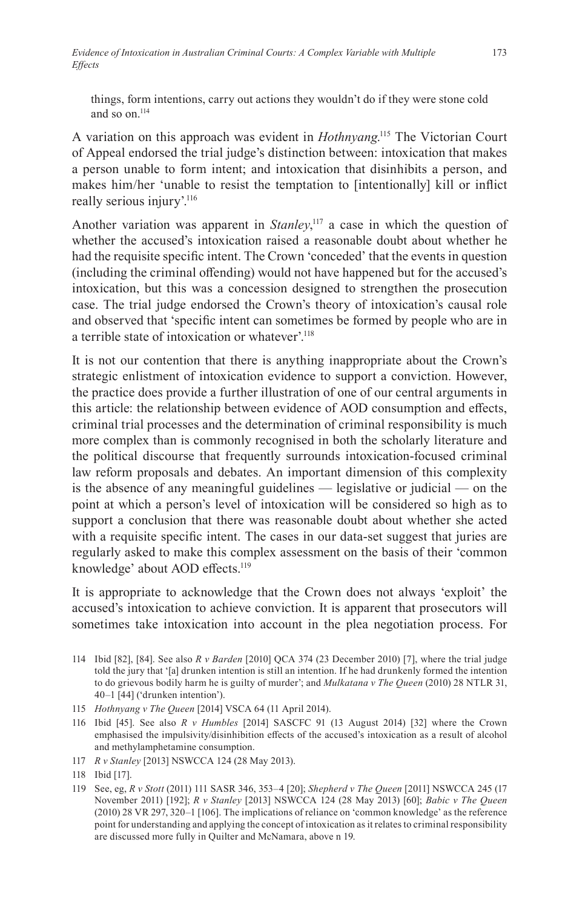things, form intentions, carry out actions they wouldn't do if they were stone cold and so on.<sup>114</sup>

A variation on this approach was evident in *Hothnyang*. 115 The Victorian Court of Appeal endorsed the trial judge's distinction between: intoxication that makes a person unable to form intent; and intoxication that disinhibits a person, and makes him/her 'unable to resist the temptation to [intentionally] kill or inflict really serious injury'.<sup>116</sup>

Another variation was apparent in *Stanley*, 117 a case in which the question of whether the accused's intoxication raised a reasonable doubt about whether he had the requisite specific intent. The Crown 'conceded' that the events in question (including the criminal offending) would not have happened but for the accused's intoxication, but this was a concession designed to strengthen the prosecution case. The trial judge endorsed the Crown's theory of intoxication's causal role and observed that 'specific intent can sometimes be formed by people who are in a terrible state of intoxication or whatever'.118

It is not our contention that there is anything inappropriate about the Crown's strategic enlistment of intoxication evidence to support a conviction. However, the practice does provide a further illustration of one of our central arguments in this article: the relationship between evidence of AOD consumption and effects, criminal trial processes and the determination of criminal responsibility is much more complex than is commonly recognised in both the scholarly literature and the political discourse that frequently surrounds intoxication-focused criminal law reform proposals and debates. An important dimension of this complexity is the absence of any meaningful guidelines — legislative or judicial — on the point at which a person's level of intoxication will be considered so high as to support a conclusion that there was reasonable doubt about whether she acted with a requisite specific intent. The cases in our data-set suggest that juries are regularly asked to make this complex assessment on the basis of their 'common knowledge' about AOD effects.<sup>119</sup>

It is appropriate to acknowledge that the Crown does not always 'exploit' the accused's intoxication to achieve conviction. It is apparent that prosecutors will sometimes take intoxication into account in the plea negotiation process. For

- 114 Ibid [82], [84]. See also *R v Barden* [2010] QCA 374 (23 December 2010) [7], where the trial judge told the jury that '[a] drunken intention is still an intention. If he had drunkenly formed the intention to do grievous bodily harm he is guilty of murder'; and *Mulkatana v The Queen* (2010) 28 NTLR 31, 40–1 [44] ('drunken intention').
- 115 *Hothnyang v The Queen* [2014] VSCA 64 (11 April 2014).
- 116 Ibid [45]. See also *R v Humbles* [2014] SASCFC 91 (13 August 2014) [32] where the Crown emphasised the impulsivity/disinhibition effects of the accused's intoxication as a result of alcohol and methylamphetamine consumption.
- 117 *R v Stanley* [2013] NSWCCA 124 (28 May 2013).

119 See, eg, *R v Stott* (2011) 111 SASR 346, 353–4 [20]; *Shepherd v The Queen* [2011] NSWCCA 245 (17 November 2011) [192]; *R v Stanley* [2013] NSWCCA 124 (28 May 2013) [60]; *Babic v The Queen* (2010) 28 VR 297, 320–1 [106]. The implications of reliance on 'common knowledge' as the reference point for understanding and applying the concept of intoxication as it relates to criminal responsibility are discussed more fully in Quilter and McNamara, above n 19.

<sup>118</sup> Ibid [17].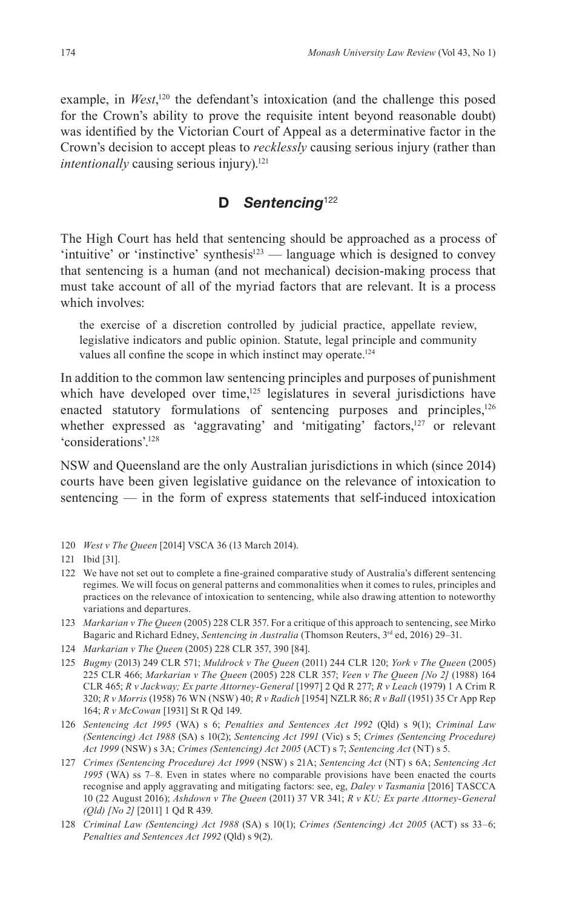example, in *West*,<sup>120</sup> the defendant's intoxication (and the challenge this posed for the Crown's ability to prove the requisite intent beyond reasonable doubt) was identified by the Victorian Court of Appeal as a determinative factor in the Crown's decision to accept pleas to *recklessly* causing serious injury (rather than *intentionally* causing serious injury).<sup>121</sup>

## **D** *Sentencing*<sup>122</sup>

The High Court has held that sentencing should be approached as a process of 'intuitive' or 'instinctive' synthesis<sup>123</sup> — language which is designed to convey that sentencing is a human (and not mechanical) decision-making process that must take account of all of the myriad factors that are relevant. It is a process which involves:

the exercise of a discretion controlled by judicial practice, appellate review, legislative indicators and public opinion. Statute, legal principle and community values all confine the scope in which instinct may operate.<sup>124</sup>

In addition to the common law sentencing principles and purposes of punishment which have developed over time, $125$  legislatures in several jurisdictions have enacted statutory formulations of sentencing purposes and principles,<sup>126</sup> whether expressed as 'aggravating' and 'mitigating' factors,<sup>127</sup> or relevant 'considerations'.128

NSW and Queensland are the only Australian jurisdictions in which (since 2014) courts have been given legislative guidance on the relevance of intoxication to sentencing — in the form of express statements that self-induced intoxication

120 *West v The Queen* [2014] VSCA 36 (13 March 2014).

- 122 We have not set out to complete a fine-grained comparative study of Australia's different sentencing regimes. We will focus on general patterns and commonalities when it comes to rules, principles and practices on the relevance of intoxication to sentencing, while also drawing attention to noteworthy variations and departures.
- 123 *Markarian v The Queen* (2005) 228 CLR 357. For a critique of this approach to sentencing, see Mirko Bagaric and Richard Edney, *Sentencing in Australia* (Thomson Reuters, 3<sup>rd</sup> ed, 2016) 29–31.
- 124 *Markarian v The Queen* (2005) 228 CLR 357, 390 [84].
- 125 *Bugmy* (2013) 249 CLR 571; *Muldrock v The Queen* (2011) 244 CLR 120; *York v The Queen* (2005) 225 CLR 466; *Markarian v The Queen* (2005) 228 CLR 357; *Veen v The Queen [No 2]* (1988) 164 CLR 465; *R v Jackway; Ex parte Attorney-General* [1997] 2 Qd R 277; *R v Leach* (1979) 1 A Crim R 320; *R v Morris* (1958) 76 WN (NSW) 40; *R v Radich* [1954] NZLR 86; *R v Ball* (1951) 35 Cr App Rep 164; *R v McCowan* [1931] St R Qd 149.
- 126 *Sentencing Act 1995* (WA) s 6; *Penalties and Sentences Act 1992* (Qld) s 9(1); *Criminal Law (Sentencing) Act 1988* (SA) s 10(2); *Sentencing Act 1991* (Vic) s 5; *Crimes (Sentencing Procedure) Act 1999* (NSW) s 3A; *Crimes (Sentencing) Act 2005* (ACT) s 7; *Sentencing Act* (NT) s 5.
- 127 *Crimes (Sentencing Procedure) Act 1999* (NSW) s 21A; *Sentencing Act* (NT) s 6A; *Sentencing Act 1995* (WA) ss 7–8. Even in states where no comparable provisions have been enacted the courts recognise and apply aggravating and mitigating factors: see, eg, *Daley v Tasmania* [2016] TASCCA 10 (22 August 2016); *Ashdown v The Queen* (2011) 37 VR 341; *R v KU; Ex parte Attorney-General (Qld) [No 2]* [2011] 1 Qd R 439.
- 128 *Criminal Law (Sentencing) Act 1988* (SA) s 10(1); *Crimes (Sentencing) Act 2005* (ACT) ss 33–6; *Penalties and Sentences Act 1992* (Qld) s 9(2).

<sup>121</sup> Ibid [31].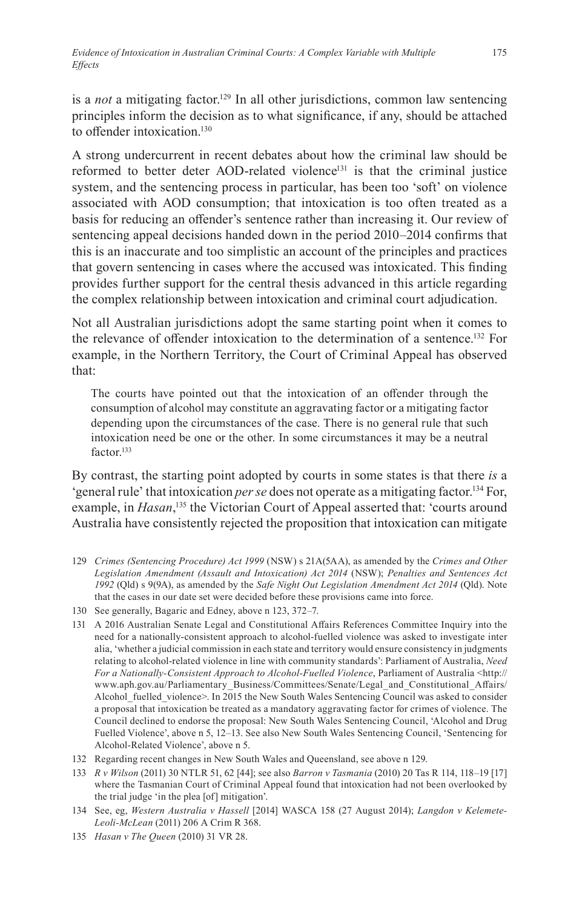is a *not* a mitigating factor.<sup>129</sup> In all other jurisdictions, common law sentencing principles inform the decision as to what significance, if any, should be attached to offender intoxication.<sup>130</sup>

A strong undercurrent in recent debates about how the criminal law should be reformed to better deter AOD-related violence<sup>131</sup> is that the criminal justice system, and the sentencing process in particular, has been too 'soft' on violence associated with AOD consumption; that intoxication is too often treated as a basis for reducing an offender's sentence rather than increasing it. Our review of sentencing appeal decisions handed down in the period 2010–2014 confirms that this is an inaccurate and too simplistic an account of the principles and practices that govern sentencing in cases where the accused was intoxicated. This finding provides further support for the central thesis advanced in this article regarding the complex relationship between intoxication and criminal court adjudication.

Not all Australian jurisdictions adopt the same starting point when it comes to the relevance of offender intoxication to the determination of a sentence.132 For example, in the Northern Territory, the Court of Criminal Appeal has observed that:

The courts have pointed out that the intoxication of an offender through the consumption of alcohol may constitute an aggravating factor or a mitigating factor depending upon the circumstances of the case. There is no general rule that such intoxication need be one or the other. In some circumstances it may be a neutral factor<sup>133</sup>

By contrast, the starting point adopted by courts in some states is that there *is* a 'general rule' that intoxication *per se* does not operate as a mitigating factor.134 For, example, in *Hasan*, 135 the Victorian Court of Appeal asserted that: 'courts around Australia have consistently rejected the proposition that intoxication can mitigate

- 129 *Crimes (Sentencing Procedure) Act 1999* (NSW) s 21A(5AA), as amended by the *Crimes and Other Legislation Amendment (Assault and Intoxication) Act 2014* (NSW); *Penalties and Sentences Act 1992* (Qld) s 9(9A), as amended by the *Safe Night Out Legislation Amendment Act 2014* (Qld). Note that the cases in our date set were decided before these provisions came into force.
- 130 See generally, Bagaric and Edney, above n 123, 372–7.
- 131 A 2016 Australian Senate Legal and Constitutional Affairs References Committee Inquiry into the need for a nationally-consistent approach to alcohol-fuelled violence was asked to investigate inter alia, 'whether a judicial commission in each state and territory would ensure consistency in judgments relating to alcohol-related violence in line with community standards': Parliament of Australia, *Need For a Nationally-Consistent Approach to Alcohol-Fuelled Violence*, Parliament of Australia <http:// www.aph.gov.au/Parliamentary\_Business/Committees/Senate/Legal\_and\_Constitutional\_Affairs/ Alcohol fuelled violence>. In 2015 the New South Wales Sentencing Council was asked to consider a proposal that intoxication be treated as a mandatory aggravating factor for crimes of violence. The Council declined to endorse the proposal: New South Wales Sentencing Council, 'Alcohol and Drug Fuelled Violence', above n 5, 12–13. See also New South Wales Sentencing Council, 'Sentencing for Alcohol-Related Violence', above n 5.
- 132 Regarding recent changes in New South Wales and Queensland, see above n 129.
- 133 *R v Wilson* (2011) 30 NTLR 51, 62 [44]; see also *Barron v Tasmania* (2010) 20 Tas R 114, 118–19 [17] where the Tasmanian Court of Criminal Appeal found that intoxication had not been overlooked by the trial judge 'in the plea [of] mitigation'.
- 134 See, eg, *Western Australia v Hassell* [2014] WASCA 158 (27 August 2014); *Langdon v Kelemete-Leoli-McLean* (2011) 206 A Crim R 368.
- 135 *Hasan v The Queen* (2010) 31 VR 28.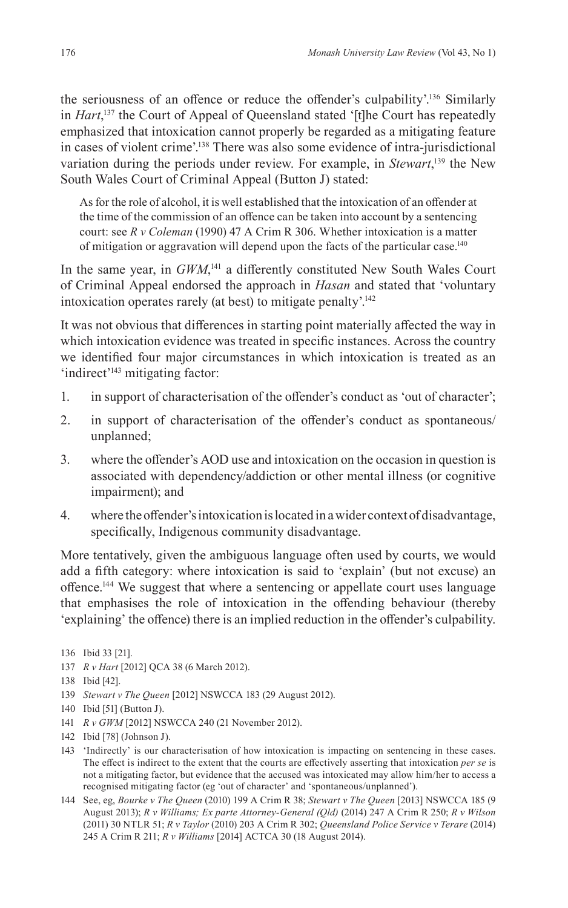the seriousness of an offence or reduce the offender's culpability'.136 Similarly in *Hart*, 137 the Court of Appeal of Queensland stated '[t]he Court has repeatedly emphasized that intoxication cannot properly be regarded as a mitigating feature in cases of violent crime'.138 There was also some evidence of intra-jurisdictional variation during the periods under review. For example, in *Stewart*, 139 the New South Wales Court of Criminal Appeal (Button J) stated:

As for the role of alcohol, it is well established that the intoxication of an offender at the time of the commission of an offence can be taken into account by a sentencing court: see *R v Coleman* (1990) 47 A Crim R 306. Whether intoxication is a matter of mitigation or aggravation will depend upon the facts of the particular case.140

In the same year, in *GWM*, <sup>141</sup> a differently constituted New South Wales Court of Criminal Appeal endorsed the approach in *Hasan* and stated that 'voluntary intoxication operates rarely (at best) to mitigate penalty'.142

It was not obvious that differences in starting point materially affected the way in which intoxication evidence was treated in specific instances. Across the country we identified four major circumstances in which intoxication is treated as an 'indirect'<sup>143</sup> mitigating factor:

- 1. in support of characterisation of the offender's conduct as 'out of character';
- 2. in support of characterisation of the offender's conduct as spontaneous/ unplanned;
- 3. where the offender's AOD use and intoxication on the occasion in question is associated with dependency/addiction or other mental illness (or cognitive impairment); and
- 4. where the offender's intoxication is located in a wider context of disadvantage, specifically, Indigenous community disadvantage.

More tentatively, given the ambiguous language often used by courts, we would add a fifth category: where intoxication is said to 'explain' (but not excuse) an offence.144 We suggest that where a sentencing or appellate court uses language that emphasises the role of intoxication in the offending behaviour (thereby 'explaining' the offence) there is an implied reduction in the offender's culpability.

- 142 Ibid [78] (Johnson J).
- 143 'Indirectly' is our characterisation of how intoxication is impacting on sentencing in these cases. The effect is indirect to the extent that the courts are effectively asserting that intoxication *per se* is not a mitigating factor, but evidence that the accused was intoxicated may allow him/her to access a recognised mitigating factor (eg 'out of character' and 'spontaneous/unplanned').
- 144 See, eg, *Bourke v The Queen* (2010) 199 A Crim R 38; *Stewart v The Queen* [2013] NSWCCA 185 (9 August 2013); *R v Williams; Ex parte Attorney-General (Qld)* (2014) 247 A Crim R 250; *R v Wilson* (2011) 30 NTLR 51; *R v Taylor* (2010) 203 A Crim R 302; *Queensland Police Service v Terare* (2014) 245 A Crim R 211; *R v Williams* [2014] ACTCA 30 (18 August 2014).

<sup>136</sup> Ibid 33 [21].

<sup>137</sup> *R v Hart* [2012] QCA 38 (6 March 2012).

<sup>138</sup> Ibid [42].

<sup>139</sup> *Stewart v The Queen* [2012] NSWCCA 183 (29 August 2012).

<sup>140</sup> Ibid [51] (Button J).

<sup>141</sup> *R v GWM* [2012] NSWCCA 240 (21 November 2012).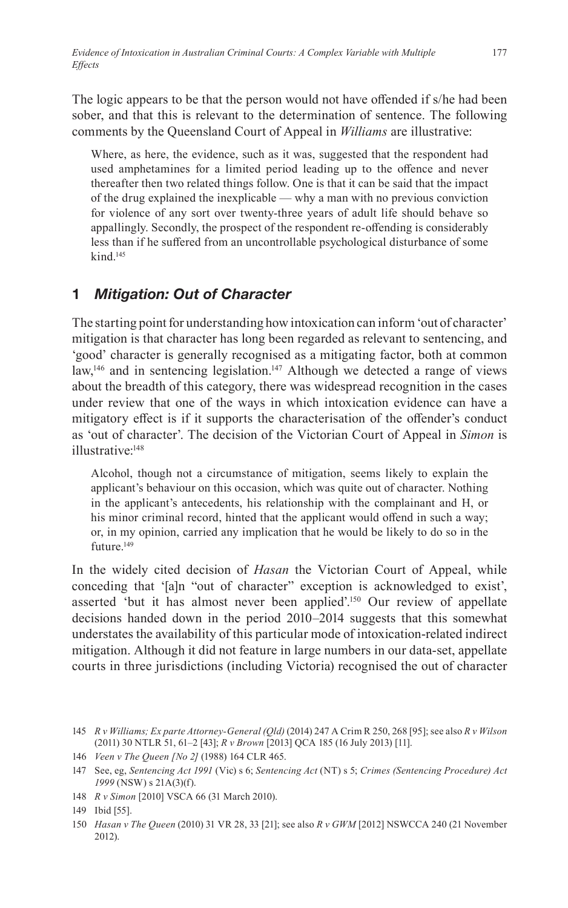The logic appears to be that the person would not have offended if s/he had been sober, and that this is relevant to the determination of sentence. The following comments by the Queensland Court of Appeal in *Williams* are illustrative:

Where, as here, the evidence, such as it was, suggested that the respondent had used amphetamines for a limited period leading up to the offence and never thereafter then two related things follow. One is that it can be said that the impact of the drug explained the inexplicable — why a man with no previous conviction for violence of any sort over twenty-three years of adult life should behave so appallingly. Secondly, the prospect of the respondent re-offending is considerably less than if he suffered from an uncontrollable psychological disturbance of some kind.145

# **1** *Mitigation: Out of Character*

The starting point for understanding how intoxication can inform 'out of character' mitigation is that character has long been regarded as relevant to sentencing, and 'good' character is generally recognised as a mitigating factor, both at common  $law<sub>146</sub>$  and in sentencing legislation.<sup>147</sup> Although we detected a range of views about the breadth of this category, there was widespread recognition in the cases under review that one of the ways in which intoxication evidence can have a mitigatory effect is if it supports the characterisation of the offender's conduct as 'out of character'. The decision of the Victorian Court of Appeal in *Simon* is illustrative:148

Alcohol, though not a circumstance of mitigation, seems likely to explain the applicant's behaviour on this occasion, which was quite out of character. Nothing in the applicant's antecedents, his relationship with the complainant and H, or his minor criminal record, hinted that the applicant would offend in such a way; or, in my opinion, carried any implication that he would be likely to do so in the future.<sup>149</sup>

In the widely cited decision of *Hasan* the Victorian Court of Appeal, while conceding that '[a]n "out of character" exception is acknowledged to exist', asserted 'but it has almost never been applied'.150 Our review of appellate decisions handed down in the period 2010–2014 suggests that this somewhat understates the availability of this particular mode of intoxication-related indirect mitigation. Although it did not feature in large numbers in our data-set, appellate courts in three jurisdictions (including Victoria) recognised the out of character

<sup>145</sup> *R v Williams; Ex parte Attorney-General (Qld)* (2014) 247 A Crim R 250, 268 [95]; see also *R v Wilson* (2011) 30 NTLR 51, 61–2 [43]; *R v Brown* [2013] QCA 185 (16 July 2013) [11].

<sup>146</sup> *Veen v The Queen [No 2]* (1988) 164 CLR 465.

<sup>147</sup> See, eg, *Sentencing Act 1991* (Vic) s 6; *Sentencing Act* (NT) s 5; *Crimes (Sentencing Procedure) Act 1999* (NSW) s 21A(3)(f).

<sup>148</sup> *R v Simon* [2010] VSCA 66 (31 March 2010).

<sup>149</sup> Ibid [55].

<sup>150</sup> *Hasan v The Queen* (2010) 31 VR 28, 33 [21]; see also *R v GWM* [2012] NSWCCA 240 (21 November 2012).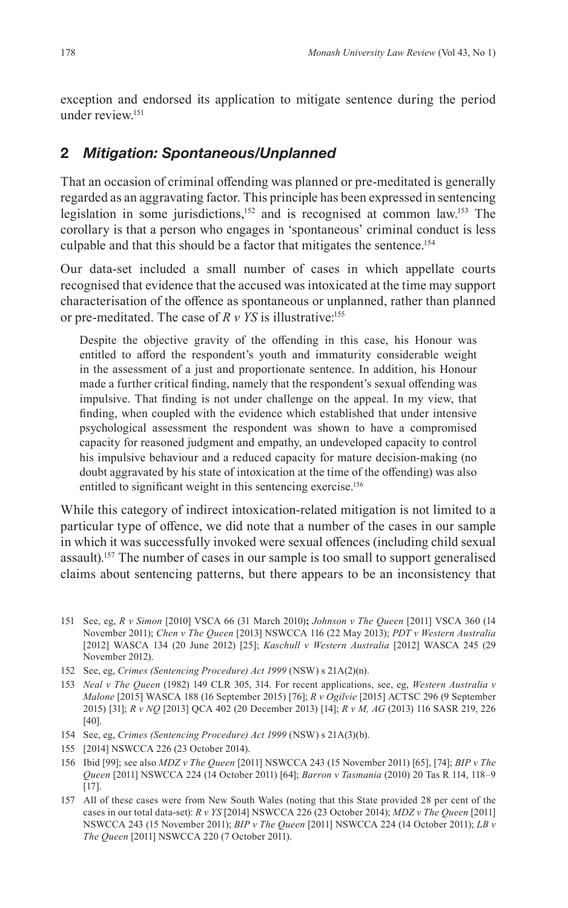exception and endorsed its application to mitigate sentence during the period under review.151

## **2** *Mitigation: Spontaneous/Unplanned*

That an occasion of criminal offending was planned or pre-meditated is generally regarded as an aggravating factor. This principle has been expressed in sentencing legislation in some jurisdictions,<sup>152</sup> and is recognised at common law.<sup>153</sup> The corollary is that a person who engages in 'spontaneous' criminal conduct is less culpable and that this should be a factor that mitigates the sentence.154

Our data-set included a small number of cases in which appellate courts recognised that evidence that the accused was intoxicated at the time may support characterisation of the offence as spontaneous or unplanned, rather than planned or pre-meditated. The case of *R v YS* is illustrative:155

Despite the objective gravity of the offending in this case, his Honour was entitled to afford the respondent's youth and immaturity considerable weight in the assessment of a just and proportionate sentence. In addition, his Honour made a further critical finding, namely that the respondent's sexual offending was impulsive. That finding is not under challenge on the appeal. In my view, that finding, when coupled with the evidence which established that under intensive psychological assessment the respondent was shown to have a compromised capacity for reasoned judgment and empathy, an undeveloped capacity to control his impulsive behaviour and a reduced capacity for mature decision-making (no doubt aggravated by his state of intoxication at the time of the offending) was also entitled to significant weight in this sentencing exercise.<sup>156</sup>

While this category of indirect intoxication-related mitigation is not limited to a particular type of offence, we did note that a number of the cases in our sample in which it was successfully invoked were sexual offences (including child sexual assault).157 The number of cases in our sample is too small to support generalised claims about sentencing patterns, but there appears to be an inconsistency that

- 151 See, eg, *R v Simon* [2010] VSCA 66 (31 March 2010)**;** *Johnson v The Queen* [2011] VSCA 360 (14 November 2011); *Chen v The Queen* [2013] NSWCCA 116 (22 May 2013); *PDT v Western Australia* [2012] WASCA 134 (20 June 2012) [25]; *Kaschull v Western Australia* [2012] WASCA 245 (29 November 2012).
- 152 See, eg, *Crimes (Sentencing Procedure) Act 1999* (NSW) s 21A(2)(n).
- 153 *Neal v The Queen* (1982) 149 CLR 305, 314. For recent applications, see, eg, *Western Australia v Malone* [2015] WASCA 188 (16 September 2015) [76]; *R v Ogilvie* [2015] ACTSC 296 (9 September 2015) [31]; *R v NQ* [2013] QCA 402 (20 December 2013) [14]; *R v M, AG* (2013) 116 SASR 219, 226 [40].
- 154 See, eg, *Crimes (Sentencing Procedure) Act 1999* (NSW) s 21A(3)(b).
- 155 [2014] NSWCCA 226 (23 October 2014).
- 156 Ibid [99]; see also *MDZ v The Queen* [2011] NSWCCA 243 (15 November 2011) [65], [74]; *BIP v The Queen* [2011] NSWCCA 224 (14 October 2011) [64]; *Barron v Tasmania* (2010) 20 Tas R 114, 118–9 [17].
- 157 All of these cases were from New South Wales (noting that this State provided 28 per cent of the cases in our total data-set): *R v YS* [2014] NSWCCA 226 (23 October 2014); *MDZ v The Queen* [2011] NSWCCA 243 (15 November 2011); *BIP v The Queen* [2011] NSWCCA 224 (14 October 2011); *LB v The Queen* [2011] NSWCCA 220 (7 October 2011).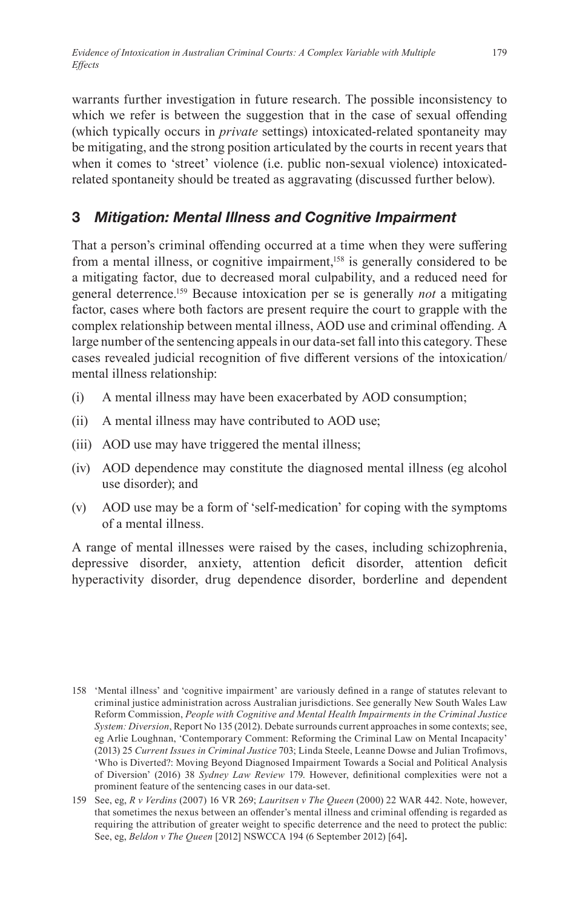warrants further investigation in future research. The possible inconsistency to which we refer is between the suggestion that in the case of sexual offending (which typically occurs in *private* settings) intoxicated-related spontaneity may be mitigating, and the strong position articulated by the courts in recent years that when it comes to 'street' violence (i.e. public non-sexual violence) intoxicatedrelated spontaneity should be treated as aggravating (discussed further below).

## **3** *Mitigation: Mental Illness and Cognitive Impairment*

That a person's criminal offending occurred at a time when they were suffering from a mental illness, or cognitive impairment,<sup>158</sup> is generally considered to be a mitigating factor, due to decreased moral culpability, and a reduced need for general deterrence.159 Because intoxication per se is generally *not* a mitigating factor, cases where both factors are present require the court to grapple with the complex relationship between mental illness, AOD use and criminal offending. A large number of the sentencing appeals in our data-set fall into this category. These cases revealed judicial recognition of five different versions of the intoxication/ mental illness relationship:

- (i) A mental illness may have been exacerbated by AOD consumption;
- (ii) A mental illness may have contributed to AOD use;
- (iii) AOD use may have triggered the mental illness;
- (iv) AOD dependence may constitute the diagnosed mental illness (eg alcohol use disorder); and
- (v) AOD use may be a form of 'self-medication' for coping with the symptoms of a mental illness.

A range of mental illnesses were raised by the cases, including schizophrenia, depressive disorder, anxiety, attention deficit disorder, attention deficit hyperactivity disorder, drug dependence disorder, borderline and dependent

<sup>158</sup> 'Mental illness' and 'cognitive impairment' are variously defined in a range of statutes relevant to criminal justice administration across Australian jurisdictions. See generally New South Wales Law Reform Commission, *People with Cognitive and Mental Health Impairments in the Criminal Justice System: Diversion*, Report No 135 (2012). Debate surrounds current approaches in some contexts; see, eg Arlie Loughnan, 'Contemporary Comment: Reforming the Criminal Law on Mental Incapacity' (2013) 25 *Current Issues in Criminal Justice* 703; Linda Steele, Leanne Dowse and Julian Trofimovs, 'Who is Diverted?: Moving Beyond Diagnosed Impairment Towards a Social and Political Analysis of Diversion' (2016) 38 *Sydney Law Review* 179. However, definitional complexities were not a prominent feature of the sentencing cases in our data-set.

<sup>159</sup> See, eg, *R v Verdins* (2007) 16 VR 269; *Lauritsen v The Queen* (2000) 22 WAR 442. Note, however, that sometimes the nexus between an offender's mental illness and criminal offending is regarded as requiring the attribution of greater weight to specific deterrence and the need to protect the public: See, eg, *Beldon v The Queen* [2012] NSWCCA 194 (6 September 2012) [64]**.**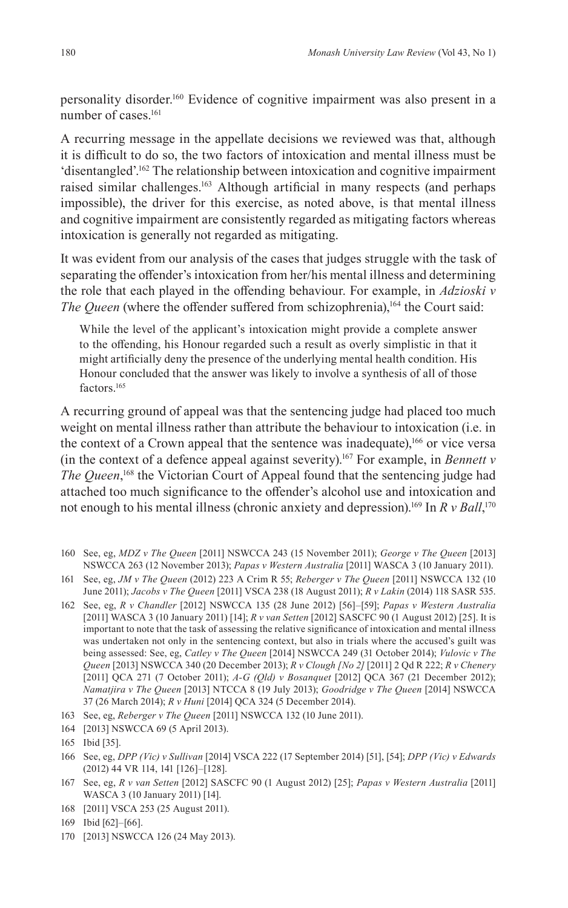personality disorder.160 Evidence of cognitive impairment was also present in a number of cases.<sup>161</sup>

A recurring message in the appellate decisions we reviewed was that, although it is difficult to do so, the two factors of intoxication and mental illness must be 'disentangled'.162 The relationship between intoxication and cognitive impairment raised similar challenges.<sup>163</sup> Although artificial in many respects (and perhaps impossible), the driver for this exercise, as noted above, is that mental illness and cognitive impairment are consistently regarded as mitigating factors whereas intoxication is generally not regarded as mitigating.

It was evident from our analysis of the cases that judges struggle with the task of separating the offender's intoxication from her/his mental illness and determining the role that each played in the offending behaviour. For example, in *Adzioski v The Queen* (where the offender suffered from schizophrenia),<sup>164</sup> the Court said:

While the level of the applicant's intoxication might provide a complete answer to the offending, his Honour regarded such a result as overly simplistic in that it might artificially deny the presence of the underlying mental health condition. His Honour concluded that the answer was likely to involve a synthesis of all of those factors.<sup>165</sup>

A recurring ground of appeal was that the sentencing judge had placed too much weight on mental illness rather than attribute the behaviour to intoxication (i.e. in the context of a Crown appeal that the sentence was inadequate),<sup>166</sup> or vice versa (in the context of a defence appeal against severity).167 For example, in *Bennett v*  The Queen,<sup>168</sup> the Victorian Court of Appeal found that the sentencing judge had attached too much significance to the offender's alcohol use and intoxication and not enough to his mental illness (chronic anxiety and depression).169 In *R v Ball*, 170

160 See, eg, *MDZ v The Queen* [2011] NSWCCA 243 (15 November 2011); *George v The Queen* [2013] NSWCCA 263 (12 November 2013); *Papas v Western Australia* [2011] WASCA 3 (10 January 2011).

161 See, eg, *JM v The Queen* (2012) 223 A Crim R 55; *Reberger v The Queen* [2011] NSWCCA 132 (10 June 2011); *Jacobs v The Queen* [2011] VSCA 238 (18 August 2011); *R v Lakin* (2014) 118 SASR 535.

- 162 See, eg, *R v Chandler* [2012] NSWCCA 135 (28 June 2012) [56]–[59]; *Papas v Western Australia* [2011] WASCA 3 (10 January 2011) [14]; *R v van Setten* [2012] SASCFC 90 (1 August 2012) [25]. It is important to note that the task of assessing the relative significance of intoxication and mental illness was undertaken not only in the sentencing context, but also in trials where the accused's guilt was being assessed: See, eg, *Catley v The Queen* [2014] NSWCCA 249 (31 October 2014); *Vulovic v The Queen* [2013] NSWCCA 340 (20 December 2013); *R v Clough [No 2]* [2011] 2 Qd R 222; *R v Chenery*  [2011] QCA 271 (7 October 2011); *A-G (Qld) v Bosanquet* [2012] QCA 367 (21 December 2012); *Namatjira v The Queen* [2013] NTCCA 8 (19 July 2013); *Goodridge v The Queen* [2014] NSWCCA 37 (26 March 2014); *R v Huni* [2014] QCA 324 (5 December 2014).
- 163 See, eg, *Reberger v The Queen* [2011] NSWCCA 132 (10 June 2011).
- 164 [2013] NSWCCA 69 (5 April 2013).

170 [2013] NSWCCA 126 (24 May 2013).

<sup>165</sup> Ibid [35].

<sup>166</sup> See, eg, *DPP (Vic) v Sullivan* [2014] VSCA 222 (17 September 2014) [51], [54]; *DPP (Vic) v Edwards* (2012) 44 VR 114, 141 [126]–[128].

<sup>167</sup> See, eg, *R v van Setten* [2012] SASCFC 90 (1 August 2012) [25]; *Papas v Western Australia* [2011] WASCA 3 (10 January 2011) [14].

<sup>168</sup> [2011] VSCA 253 (25 August 2011).

<sup>169</sup> Ibid [62]–[66].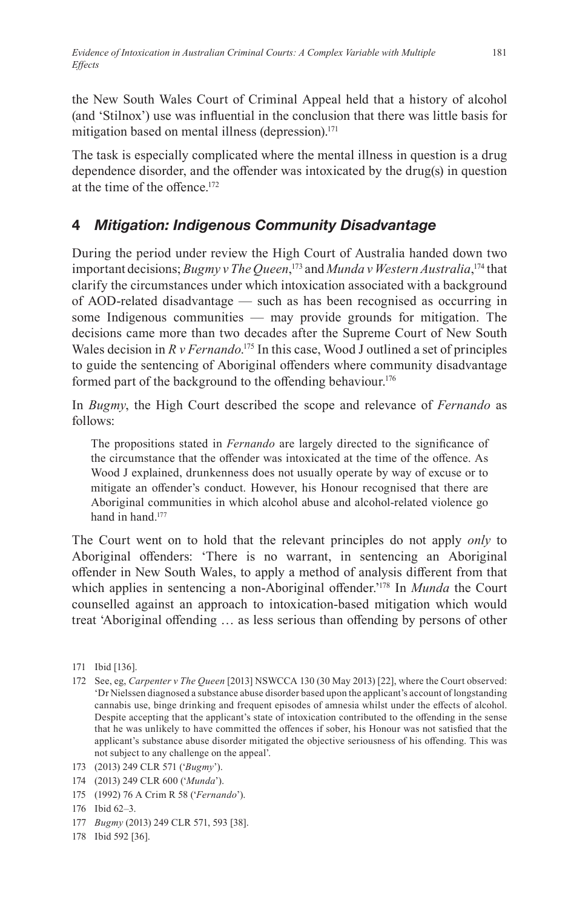the New South Wales Court of Criminal Appeal held that a history of alcohol (and 'Stilnox') use was influential in the conclusion that there was little basis for mitigation based on mental illness (depression).<sup>171</sup>

The task is especially complicated where the mental illness in question is a drug dependence disorder, and the offender was intoxicated by the drug(s) in question at the time of the offence.<sup>172</sup>

# **4** *Mitigation: Indigenous Community Disadvantage*

During the period under review the High Court of Australia handed down two important decisions; *Bugmy v The Queen*, 173 and *Munda v Western Australia*, 174 that clarify the circumstances under which intoxication associated with a background of AOD-related disadvantage — such as has been recognised as occurring in some Indigenous communities — may provide grounds for mitigation. The decisions came more than two decades after the Supreme Court of New South Wales decision in *R v Fernando*. 175 In this case, Wood J outlined a set of principles to guide the sentencing of Aboriginal offenders where community disadvantage formed part of the background to the offending behaviour.<sup>176</sup>

In *Bugmy*, the High Court described the scope and relevance of *Fernando* as follows:

The propositions stated in *Fernando* are largely directed to the significance of the circumstance that the offender was intoxicated at the time of the offence. As Wood J explained, drunkenness does not usually operate by way of excuse or to mitigate an offender's conduct. However, his Honour recognised that there are Aboriginal communities in which alcohol abuse and alcohol-related violence go hand in hand.<sup>177</sup>

The Court went on to hold that the relevant principles do not apply *only* to Aboriginal offenders: 'There is no warrant, in sentencing an Aboriginal offender in New South Wales, to apply a method of analysis different from that which applies in sentencing a non-Aboriginal offender.<sup>178</sup> In *Munda* the Court counselled against an approach to intoxication-based mitigation which would treat 'Aboriginal offending … as less serious than offending by persons of other

- 177 *Bugmy* (2013) 249 CLR 571, 593 [38].
- 178 Ibid 592 [36].

<sup>171</sup> Ibid [136].

<sup>172</sup> See, eg, *Carpenter v The Queen* [2013] NSWCCA 130 (30 May 2013) [22], where the Court observed: 'Dr Nielssen diagnosed a substance abuse disorder based upon the applicant's account of longstanding cannabis use, binge drinking and frequent episodes of amnesia whilst under the effects of alcohol. Despite accepting that the applicant's state of intoxication contributed to the offending in the sense that he was unlikely to have committed the offences if sober, his Honour was not satisfied that the applicant's substance abuse disorder mitigated the objective seriousness of his offending. This was not subject to any challenge on the appeal'.

<sup>173</sup> (2013) 249 CLR 571 ('*Bugmy*').

<sup>174</sup> (2013) 249 CLR 600 ('*Munda*').

<sup>175</sup> (1992) 76 A Crim R 58 ('*Fernando*').

<sup>176</sup> Ibid 62–3.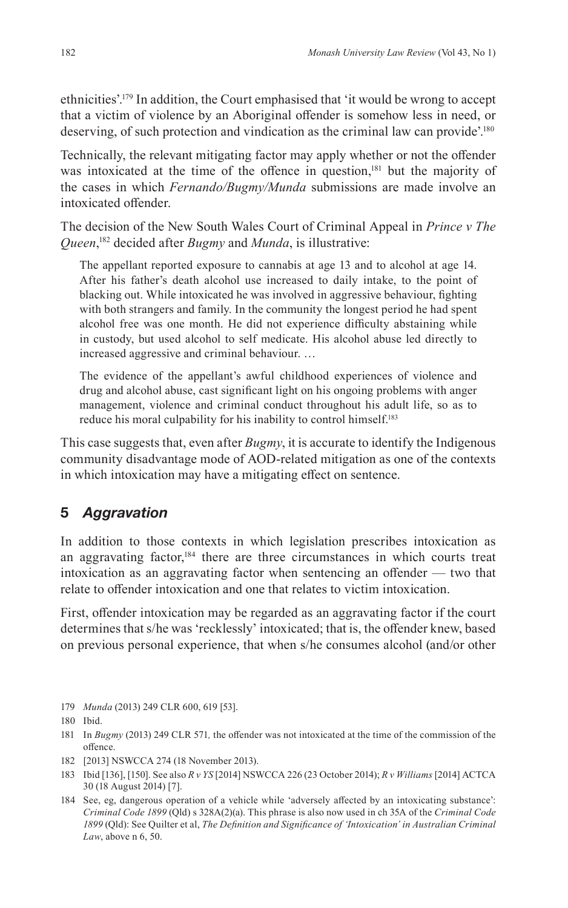ethnicities'.179 In addition, the Court emphasised that 'it would be wrong to accept that a victim of violence by an Aboriginal offender is somehow less in need, or deserving, of such protection and vindication as the criminal law can provide'.<sup>180</sup>

Technically, the relevant mitigating factor may apply whether or not the offender was intoxicated at the time of the offence in question,<sup>181</sup> but the majority of the cases in which *Fernando/Bugmy/Munda* submissions are made involve an intoxicated offender.

The decision of the New South Wales Court of Criminal Appeal in *Prince v The Queen*, <sup>182</sup> decided after *Bugmy* and *Munda*, is illustrative:

The appellant reported exposure to cannabis at age 13 and to alcohol at age 14. After his father's death alcohol use increased to daily intake, to the point of blacking out. While intoxicated he was involved in aggressive behaviour, fighting with both strangers and family. In the community the longest period he had spent alcohol free was one month. He did not experience difficulty abstaining while in custody, but used alcohol to self medicate. His alcohol abuse led directly to increased aggressive and criminal behaviour. …

The evidence of the appellant's awful childhood experiences of violence and drug and alcohol abuse, cast significant light on his ongoing problems with anger management, violence and criminal conduct throughout his adult life, so as to reduce his moral culpability for his inability to control himself.<sup>183</sup>

This case suggests that, even after *Bugmy*, it is accurate to identify the Indigenous community disadvantage mode of AOD-related mitigation as one of the contexts in which intoxication may have a mitigating effect on sentence.

## **5** *Aggravation*

In addition to those contexts in which legislation prescribes intoxication as an aggravating factor,<sup>184</sup> there are three circumstances in which courts treat intoxication as an aggravating factor when sentencing an offender — two that relate to offender intoxication and one that relates to victim intoxication.

First, offender intoxication may be regarded as an aggravating factor if the court determines that s/he was 'recklessly' intoxicated; that is, the offender knew, based on previous personal experience, that when s/he consumes alcohol (and/or other

179 *Munda* (2013) 249 CLR 600, 619 [53].

182 [2013] NSWCCA 274 (18 November 2013).

<sup>180</sup> Ibid.

<sup>181</sup> In *Bugmy* (2013) 249 CLR 571*,* the offender was not intoxicated at the time of the commission of the offence.

<sup>183</sup> Ibid [136], [150]. See also *R v YS* [2014] NSWCCA 226 (23 October 2014); *R v Williams* [2014] ACTCA 30 (18 August 2014) [7].

<sup>184</sup> See, eg, dangerous operation of a vehicle while 'adversely affected by an intoxicating substance': *Criminal Code 1899* (Qld) s 328A(2)(a). This phrase is also now used in ch 35A of the *Criminal Code 1899* (Qld): See Quilter et al, *The Definition and Significance of 'Intoxication' in Australian Criminal Law*, above n 6, 50.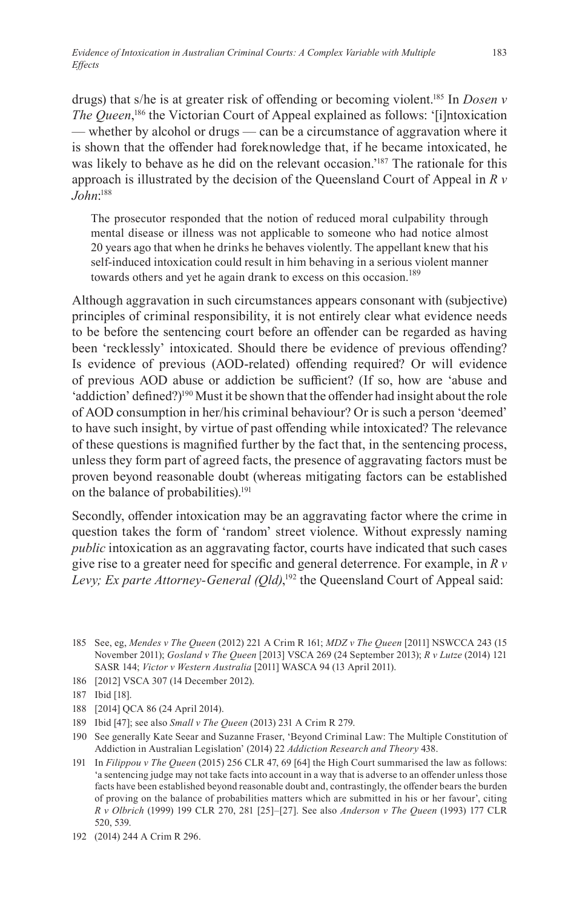drugs) that s/he is at greater risk of offending or becoming violent.185 In *Dosen v The Queen*,<sup>186</sup> the Victorian Court of Appeal explained as follows: '[i]ntoxication — whether by alcohol or drugs — can be a circumstance of aggravation where it is shown that the offender had foreknowledge that, if he became intoxicated, he was likely to behave as he did on the relevant occasion.'187 The rationale for this approach is illustrated by the decision of the Queensland Court of Appeal in *R v John*: 188

The prosecutor responded that the notion of reduced moral culpability through mental disease or illness was not applicable to someone who had notice almost 20 years ago that when he drinks he behaves violently. The appellant knew that his self-induced intoxication could result in him behaving in a serious violent manner towards others and yet he again drank to excess on this occasion.<sup>189</sup>

Although aggravation in such circumstances appears consonant with (subjective) principles of criminal responsibility, it is not entirely clear what evidence needs to be before the sentencing court before an offender can be regarded as having been 'recklessly' intoxicated. Should there be evidence of previous offending? Is evidence of previous (AOD-related) offending required? Or will evidence of previous AOD abuse or addiction be sufficient? (If so, how are 'abuse and 'addiction' defined?)<sup>190</sup> Must it be shown that the offender had insight about the role of AOD consumption in her/his criminal behaviour? Or is such a person 'deemed' to have such insight, by virtue of past offending while intoxicated? The relevance of these questions is magnified further by the fact that, in the sentencing process, unless they form part of agreed facts, the presence of aggravating factors must be proven beyond reasonable doubt (whereas mitigating factors can be established on the balance of probabilities).<sup>191</sup>

Secondly, offender intoxication may be an aggravating factor where the crime in question takes the form of 'random' street violence. Without expressly naming *public* intoxication as an aggravating factor, courts have indicated that such cases give rise to a greater need for specific and general deterrence. For example, in *R v Levy; Ex parte Attorney-General (Qld)*, 192 the Queensland Court of Appeal said:

<sup>185</sup> See, eg, *Mendes v The Queen* (2012) 221 A Crim R 161; *MDZ v The Queen* [2011] NSWCCA 243 (15 November 2011); *Gosland v The Queen* [2013] VSCA 269 (24 September 2013); *R v Lutze* (2014) 121 SASR 144; *Victor v Western Australia* [2011] WASCA 94 (13 April 2011).

<sup>186</sup> [2012] VSCA 307 (14 December 2012).

<sup>187</sup> Ibid [18].

<sup>188</sup> [2014] QCA 86 (24 April 2014).

<sup>189</sup> Ibid [47]; see also *Small v The Queen* (2013) 231 A Crim R 279.

<sup>190</sup> See generally Kate Seear and Suzanne Fraser, 'Beyond Criminal Law: The Multiple Constitution of Addiction in Australian Legislation' (2014) 22 *Addiction Research and Theory* 438.

<sup>191</sup> In *Filippou v The Queen* (2015) 256 CLR 47, 69 [64] the High Court summarised the law as follows: 'a sentencing judge may not take facts into account in a way that is adverse to an offender unless those facts have been established beyond reasonable doubt and, contrastingly, the offender bears the burden of proving on the balance of probabilities matters which are submitted in his or her favour', citing *R v Olbrich* (1999) 199 CLR 270, 281 [25]–[27]. See also *Anderson v The Queen* (1993) 177 CLR 520, 539.

<sup>192</sup> (2014) 244 A Crim R 296.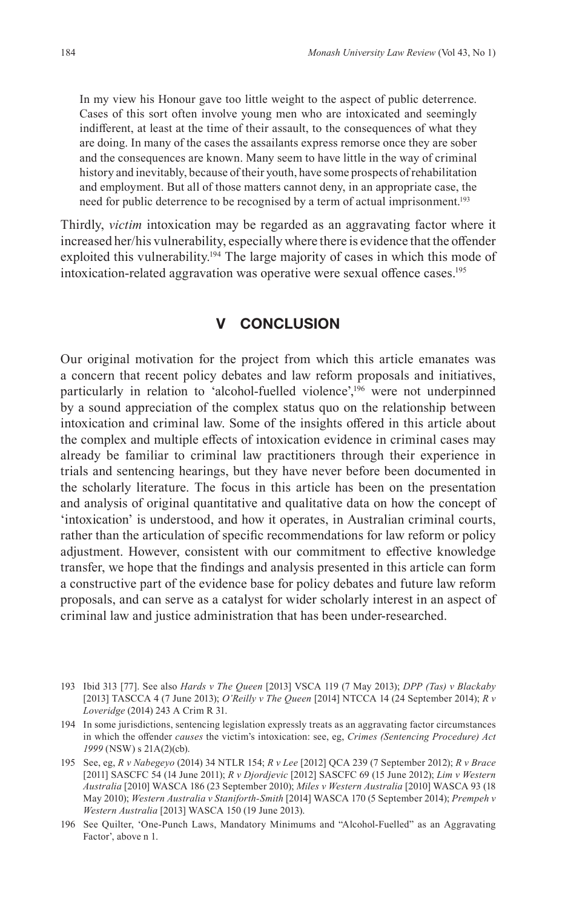In my view his Honour gave too little weight to the aspect of public deterrence. Cases of this sort often involve young men who are intoxicated and seemingly indifferent, at least at the time of their assault, to the consequences of what they are doing. In many of the cases the assailants express remorse once they are sober and the consequences are known. Many seem to have little in the way of criminal history and inevitably, because of their youth, have some prospects of rehabilitation and employment. But all of those matters cannot deny, in an appropriate case, the need for public deterrence to be recognised by a term of actual imprisonment.<sup>193</sup>

Thirdly, *victim* intoxication may be regarded as an aggravating factor where it increased her/his vulnerability, especially where there is evidence that the offender exploited this vulnerability.<sup>194</sup> The large majority of cases in which this mode of intoxication-related aggravation was operative were sexual offence cases.<sup>195</sup>

### **V CONCLUSION**

Our original motivation for the project from which this article emanates was a concern that recent policy debates and law reform proposals and initiatives, particularly in relation to 'alcohol-fuelled violence',<sup>196</sup> were not underpinned by a sound appreciation of the complex status quo on the relationship between intoxication and criminal law. Some of the insights offered in this article about the complex and multiple effects of intoxication evidence in criminal cases may already be familiar to criminal law practitioners through their experience in trials and sentencing hearings, but they have never before been documented in the scholarly literature. The focus in this article has been on the presentation and analysis of original quantitative and qualitative data on how the concept of 'intoxication' is understood, and how it operates, in Australian criminal courts, rather than the articulation of specific recommendations for law reform or policy adjustment. However, consistent with our commitment to effective knowledge transfer, we hope that the findings and analysis presented in this article can form a constructive part of the evidence base for policy debates and future law reform proposals, and can serve as a catalyst for wider scholarly interest in an aspect of criminal law and justice administration that has been under-researched.

<sup>193</sup> Ibid 313 [77]. See also *Hards v The Queen* [2013] VSCA 119 (7 May 2013); *DPP (Tas) v Blackaby*  [2013] TASCCA 4 (7 June 2013); *O'Reilly v The Queen* [2014] NTCCA 14 (24 September 2014); *R v Loveridge* (2014) 243 A Crim R 31.

<sup>194</sup> In some jurisdictions, sentencing legislation expressly treats as an aggravating factor circumstances in which the offender *causes* the victim's intoxication: see, eg, *Crimes (Sentencing Procedure) Act 1999* (NSW) s 21A(2)(cb).

<sup>195</sup> See, eg, *R v Nabegeyo* (2014) 34 NTLR 154; *R v Lee* [2012] QCA 239 (7 September 2012); *R v Brace* [2011] SASCFC 54 (14 June 2011); *R v Djordjevic* [2012] SASCFC 69 (15 June 2012); *Lim v Western Australia* [2010] WASCA 186 (23 September 2010); *Miles v Western Australia* [2010] WASCA 93 (18 May 2010); *Western Australia v Staniforth-Smith* [2014] WASCA 170 (5 September 2014); *Prempeh v Western Australia* [2013] WASCA 150 (19 June 2013).

<sup>196</sup> See Quilter, 'One-Punch Laws, Mandatory Minimums and "Alcohol-Fuelled" as an Aggravating Factor', above n 1.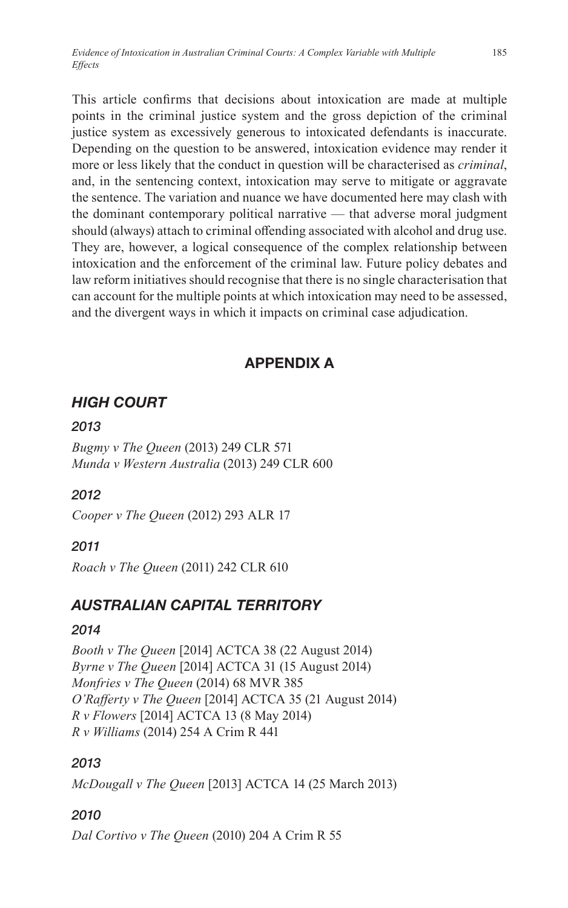This article confirms that decisions about intoxication are made at multiple points in the criminal justice system and the gross depiction of the criminal justice system as excessively generous to intoxicated defendants is inaccurate. Depending on the question to be answered, intoxication evidence may render it more or less likely that the conduct in question will be characterised as *criminal*, and, in the sentencing context, intoxication may serve to mitigate or aggravate the sentence. The variation and nuance we have documented here may clash with the dominant contemporary political narrative — that adverse moral judgment should (always) attach to criminal offending associated with alcohol and drug use. They are, however, a logical consequence of the complex relationship between intoxication and the enforcement of the criminal law. Future policy debates and law reform initiatives should recognise that there is no single characterisation that can account for the multiple points at which intoxication may need to be assessed, and the divergent ways in which it impacts on criminal case adjudication.

# **APPENDIX A**

# *HIGH COURT*

### *2013*

*Bugmy v The Queen* (2013) 249 CLR 571 *Munda v Western Australia* (2013) 249 CLR 600

## *2012*

*Cooper v The Queen* (2012) 293 ALR 17

## *2011*

*Roach v The Queen* (2011) 242 CLR 610

# *AUSTRALIAN CAPITAL TERRITORY*

## *2014*

*Booth v The Queen* [2014] ACTCA 38 (22 August 2014) *Byrne v The Queen* [2014] ACTCA 31 (15 August 2014) *Monfries v The Queen* (2014) 68 MVR 385 *O'Rafferty v The Queen* [2014] ACTCA 35 (21 August 2014) *R v Flowers* [2014] ACTCA 13 (8 May 2014) *R v Williams* (2014) 254 A Crim R 441

# *2013*

*McDougall v The Queen* [2013] ACTCA 14 (25 March 2013)

# *2010*

*Dal Cortivo v The Queen* (2010) 204 A Crim R 55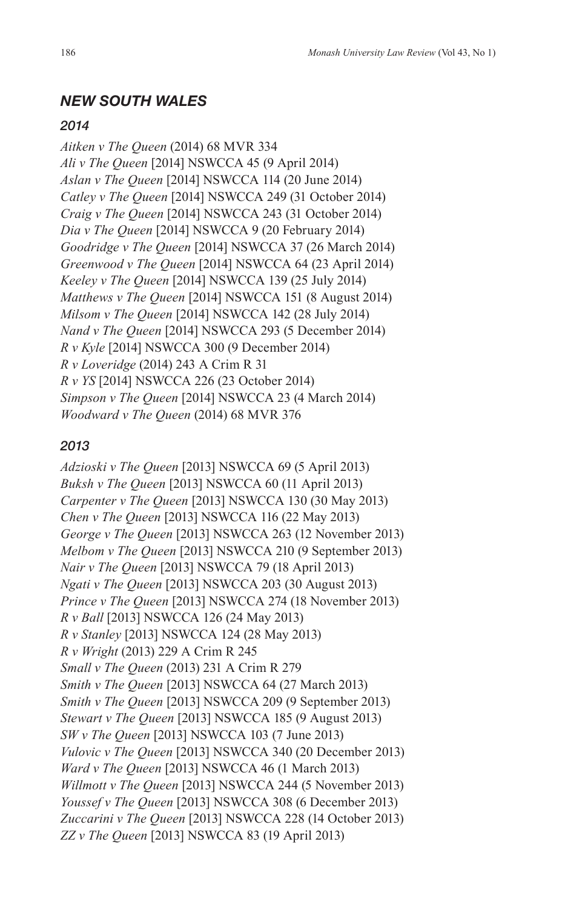### *NEW SOUTH WALES*

#### *2014*

*Aitken v The Queen* (2014) 68 MVR 334 *Ali v The Queen* [2014] NSWCCA 45 (9 April 2014) *Aslan v The Queen* [2014] NSWCCA 114 (20 June 2014) *Catley v The Queen* [2014] NSWCCA 249 (31 October 2014) *Craig v The Queen* [2014] NSWCCA 243 (31 October 2014) *Dia v The Queen* [2014] NSWCCA 9 (20 February 2014) *Goodridge v The Queen* [2014] NSWCCA 37 (26 March 2014) *Greenwood v The Queen* [2014] NSWCCA 64 (23 April 2014) *Keeley v The Queen* [2014] NSWCCA 139 (25 July 2014) *Matthews v The Queen* [2014] NSWCCA 151 (8 August 2014) *Milsom v The Queen* [2014] NSWCCA 142 (28 July 2014) *Nand v The Queen* [2014] NSWCCA 293 (5 December 2014) *R v Kyle* [2014] NSWCCA 300 (9 December 2014) *R v Loveridge* (2014) 243 A Crim R 31 *R v YS* [2014] NSWCCA 226 (23 October 2014) *Simpson v The Queen* [2014] NSWCCA 23 (4 March 2014) *Woodward v The Queen* (2014) 68 MVR 376

#### *2013*

*Adzioski v The Queen* [2013] NSWCCA 69 (5 April 2013) *Buksh v The Queen* [2013] NSWCCA 60 (11 April 2013) *Carpenter v The Queen* [2013] NSWCCA 130 (30 May 2013) *Chen v The Queen* [2013] NSWCCA 116 (22 May 2013) *George v The Queen* [2013] NSWCCA 263 (12 November 2013) *Melbom v The Queen* [2013] NSWCCA 210 (9 September 2013) *Nair v The Queen* [2013] NSWCCA 79 (18 April 2013) *Ngati v The Queen* [2013] NSWCCA 203 (30 August 2013) *Prince v The Queen* [2013] NSWCCA 274 (18 November 2013) *R v Ball* [2013] NSWCCA 126 (24 May 2013) *R v Stanley* [2013] NSWCCA 124 (28 May 2013) *R v Wright* (2013) 229 A Crim R 245 *Small v The Queen* (2013) 231 A Crim R 279 *Smith v The Queen* [2013] NSWCCA 64 (27 March 2013) *Smith v The Queen* [2013] NSWCCA 209 (9 September 2013) *Stewart v The Queen* [2013] NSWCCA 185 (9 August 2013) *SW v The Queen* [2013] NSWCCA 103 (7 June 2013) *Vulovic v The Queen* [2013] NSWCCA 340 (20 December 2013) *Ward v The Queen* [2013] NSWCCA 46 (1 March 2013) *Willmott v The Queen* [2013] NSWCCA 244 (5 November 2013) *Youssef v The Queen* [2013] NSWCCA 308 (6 December 2013) *Zuccarini v The Queen* [2013] NSWCCA 228 (14 October 2013) *ZZ v The Queen* [2013] NSWCCA 83 (19 April 2013)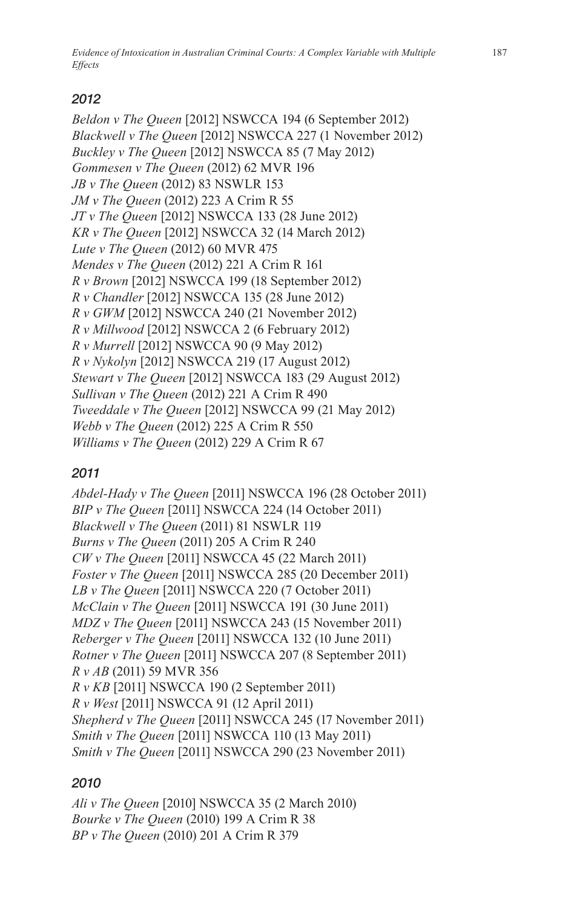*Evidence of Intoxication in Australian Criminal Courts: A Complex Variable with Multiple Effects*

## *2012*

*Beldon v The Queen* [2012] NSWCCA 194 (6 September 2012) *Blackwell v The Queen* [2012] NSWCCA 227 (1 November 2012) *Buckley v The Queen* [2012] NSWCCA 85 (7 May 2012) *Gommesen v The Queen* (2012) 62 MVR 196 *JB v The Queen* (2012) 83 NSWLR 153 *JM v The Queen* (2012) 223 A Crim R 55 *JT v The Queen* [2012] NSWCCA 133 (28 June 2012) *KR v The Queen* [2012] NSWCCA 32 (14 March 2012) *Lute v The Queen* (2012) 60 MVR 475 *Mendes v The Queen* (2012) 221 A Crim R 161 *R v Brown* [2012] NSWCCA 199 (18 September 2012) *R v Chandler* [2012] NSWCCA 135 (28 June 2012) *R v GWM* [2012] NSWCCA 240 (21 November 2012) *R v Millwood* [2012] NSWCCA 2 (6 February 2012) *R v Murrell* [2012] NSWCCA 90 (9 May 2012) *R v Nykolyn* [2012] NSWCCA 219 (17 August 2012) *Stewart v The Queen* [2012] NSWCCA 183 (29 August 2012) *Sullivan v The Queen* (2012) 221 A Crim R 490 *Tweeddale v The Queen* [2012] NSWCCA 99 (21 May 2012) *Webb v The Queen* (2012) 225 A Crim R 550 *Williams v The Queen* (2012) 229 A Crim R 67

## *2011*

*Abdel-Hady v The Queen* [2011] NSWCCA 196 (28 October 2011) *BIP v The Queen* [2011] NSWCCA 224 (14 October 2011) *Blackwell v The Queen* (2011) 81 NSWLR 119 *Burns v The Queen* (2011) 205 A Crim R 240 *CW v The Queen* [2011] NSWCCA 45 (22 March 2011) *Foster v The Queen* [2011] NSWCCA 285 (20 December 2011) *LB v The Queen* [2011] NSWCCA 220 (7 October 2011) *McClain v The Queen* [2011] NSWCCA 191 (30 June 2011) *MDZ v The Queen* [2011] NSWCCA 243 (15 November 2011) *Reberger v The Queen* [2011] NSWCCA 132 (10 June 2011) *Rotner v The Queen* [2011] NSWCCA 207 (8 September 2011) *R v AB* (2011) 59 MVR 356 *R v KB* [2011] NSWCCA 190 (2 September 2011) *R v West* [2011] NSWCCA 91 (12 April 2011) *Shepherd v The Queen* [2011] NSWCCA 245 (17 November 2011) *Smith v The Queen* [2011] NSWCCA 110 (13 May 2011) *Smith v The Queen* [2011] NSWCCA 290 (23 November 2011)

## *2010*

*Ali v The Queen* [2010] NSWCCA 35 (2 March 2010) *Bourke v The Queen* (2010) 199 A Crim R 38 *BP v The Queen* (2010) 201 A Crim R 379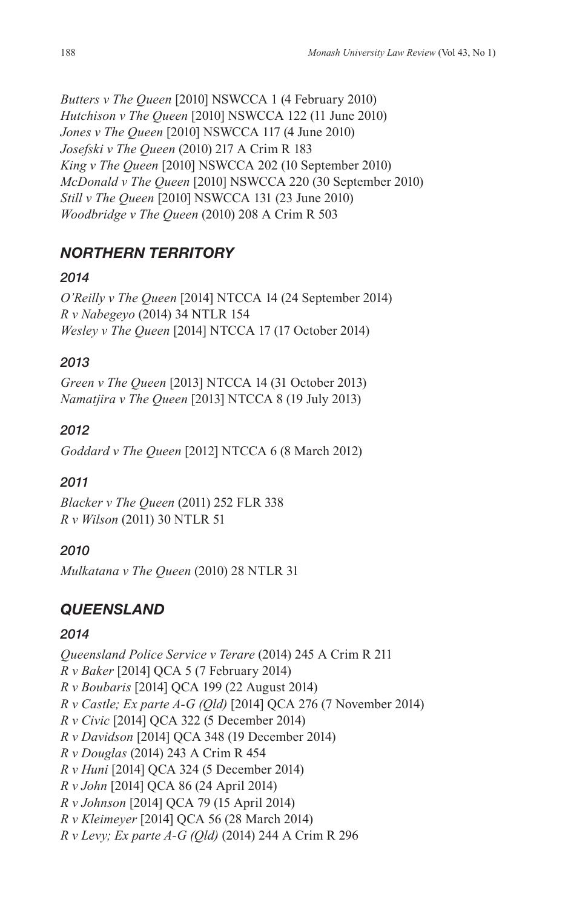*Butters v The Queen* [2010] NSWCCA 1 (4 February 2010) *Hutchison v The Queen* [2010] NSWCCA 122 (11 June 2010) *Jones v The Queen* [2010] NSWCCA 117 (4 June 2010) *Josefski v The Queen* (2010) 217 A Crim R 183 *King v The Queen* [2010] NSWCCA 202 (10 September 2010) *McDonald v The Queen* [2010] NSWCCA 220 (30 September 2010) *Still v The Queen* [2010] NSWCCA 131 (23 June 2010) *Woodbridge v The Queen* (2010) 208 A Crim R 503

# *NORTHERN TERRITORY*

# *2014*

*O'Reilly v The Queen* [2014] NTCCA 14 (24 September 2014) *R v Nabegeyo* (2014) 34 NTLR 154 *Wesley v The Queen* [2014] NTCCA 17 (17 October 2014)

# *2013*

*Green v The Queen* [2013] NTCCA 14 (31 October 2013) *Namatjira v The Queen* [2013] NTCCA 8 (19 July 2013)

# *2012*

*Goddard v The Queen* [2012] NTCCA 6 (8 March 2012)

# *2011*

*Blacker v The Queen* (2011) 252 FLR 338 *R v Wilson* (2011) 30 NTLR 51

# *2010*

*Mulkatana v The Queen* (2010) 28 NTLR 31

# *QUEENSLAND*

# *2014*

*Queensland Police Service v Terare* (2014) 245 A Crim R 211 *R v Baker* [2014] QCA 5 (7 February 2014) *R v Boubaris* [2014] QCA 199 (22 August 2014) *R v Castle; Ex parte A-G (Qld)* [2014] QCA 276 (7 November 2014) *R v Civic* [2014] QCA 322 (5 December 2014) *R v Davidson* [2014] QCA 348 (19 December 2014) *R v Douglas* (2014) 243 A Crim R 454 *R v Huni* [2014] QCA 324 (5 December 2014) *R v John* [2014] QCA 86 (24 April 2014) *R v Johnson* [2014] QCA 79 (15 April 2014) *R v Kleimeyer* [2014] QCA 56 (28 March 2014) *R v Levy; Ex parte A-G (Qld)* (2014) 244 A Crim R 296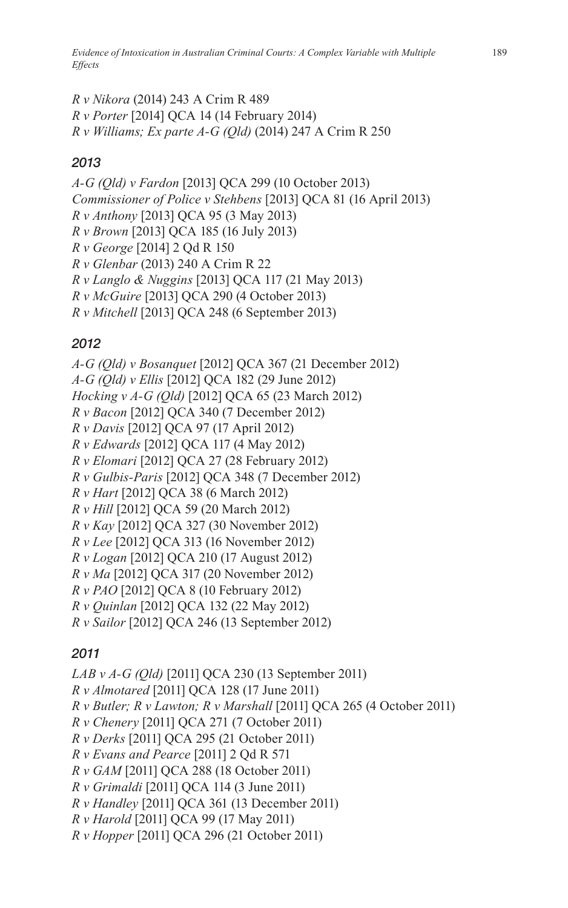*Evidence of Intoxication in Australian Criminal Courts: A Complex Variable with Multiple Effects*

*R v Nikora* (2014) 243 A Crim R 489 *R v Porter* [2014] QCA 14 (14 February 2014) *R v Williams; Ex parte A-G (Qld)* (2014) 247 A Crim R 250

## *2013*

*A-G (Qld) v Fardon* [2013] QCA 299 (10 October 2013) *Commissioner of Police v Stehbens* [2013] QCA 81 (16 April 2013) *R v Anthony* [2013] QCA 95 (3 May 2013) *R v Brown* [2013] QCA 185 (16 July 2013) *R v George* [2014] 2 Qd R 150 *R v Glenbar* (2013) 240 A Crim R 22 *R v Langlo & Nuggins* [2013] QCA 117 (21 May 2013) *R v McGuire* [2013] QCA 290 (4 October 2013) *R v Mitchell* [2013] QCA 248 (6 September 2013)

## *2012*

*A-G (Qld) v Bosanquet* [2012] QCA 367 (21 December 2012) *A-G (Qld) v Ellis* [2012] QCA 182 (29 June 2012) *Hocking v A-G (Qld)* [2012] QCA 65 (23 March 2012) *R v Bacon* [2012] QCA 340 (7 December 2012) *R v Davis* [2012] QCA 97 (17 April 2012) *R v Edwards* [2012] QCA 117 (4 May 2012) *R v Elomari* [2012] QCA 27 (28 February 2012) *R v Gulbis-Paris* [2012] QCA 348 (7 December 2012) *R v Hart* [2012] QCA 38 (6 March 2012) *R v Hill* [2012] QCA 59 (20 March 2012) *R v Kay* [2012] QCA 327 (30 November 2012) *R v Lee* [2012] QCA 313 (16 November 2012) *R v Logan* [2012] QCA 210 (17 August 2012) *R v Ma* [2012] QCA 317 (20 November 2012) *R v PAO* [2012] QCA 8 (10 February 2012) *R v Quinlan* [2012] QCA 132 (22 May 2012) *R v Sailor* [2012] QCA 246 (13 September 2012)

# *2011*

*LAB v A-G (Qld)* [2011] QCA 230 (13 September 2011) *R v Almotared* [2011] QCA 128 (17 June 2011) *R v Butler; R v Lawton; R v Marshall* [2011] QCA 265 (4 October 2011) *R v Chenery* [2011] QCA 271 (7 October 2011) *R v Derks* [2011] QCA 295 (21 October 2011) *R v Evans and Pearce* [2011] 2 Qd R 571 *R v GAM* [2011] QCA 288 (18 October 2011) *R v Grimaldi* [2011] QCA 114 (3 June 2011) *R v Handley* [2011] QCA 361 (13 December 2011) *R v Harold* [2011] QCA 99 (17 May 2011) *R v Hopper* [2011] QCA 296 (21 October 2011)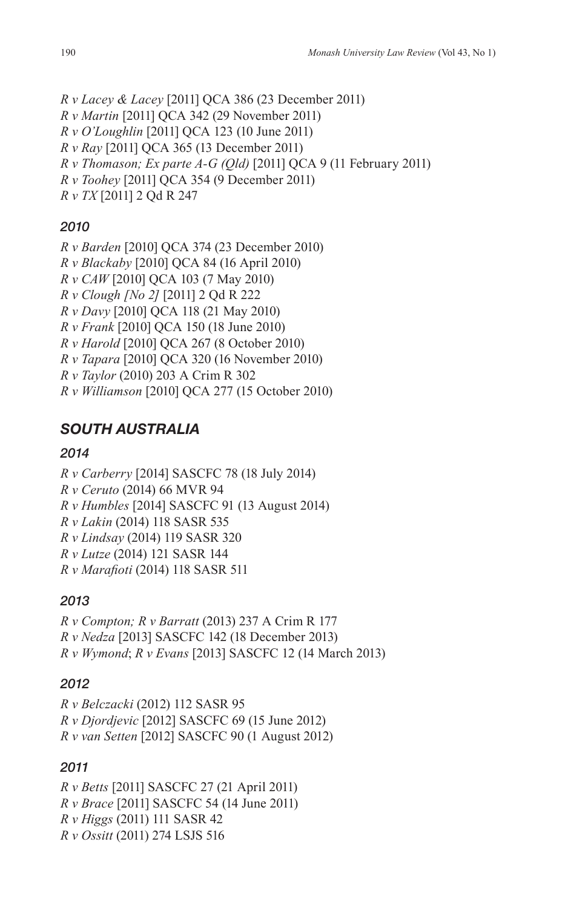```
R v Lacey & Lacey [2011] QCA 386 (23 December 2011)
R v Martin [2011] QCA 342 (29 November 2011)
R v O'Loughlin [2011] QCA 123 (10 June 2011)
R v Ray [2011] QCA 365 (13 December 2011)
R v Thomason; Ex parte A-G (Qld) [2011] QCA 9 (11 February 2011)
R v Toohey [2011] QCA 354 (9 December 2011)
R v TX [2011] 2 Qd R 247
```
# *2010*

```
R v Barden [2010] QCA 374 (23 December 2010)
R v Blackaby [2010] QCA 84 (16 April 2010)
R v CAW [2010] QCA 103 (7 May 2010)
R v Clough [No 2] [2011] 2 Qd R 222
R v Davy [2010] QCA 118 (21 May 2010)
R v Frank [2010] QCA 150 (18 June 2010)
R v Harold [2010] QCA 267 (8 October 2010)
R v Tapara [2010] QCA 320 (16 November 2010)
R v Taylor (2010) 203 A Crim R 302
R v Williamson [2010] QCA 277 (15 October 2010)
```
# *SOUTH AUSTRALIA*

# *2014*

*R v Carberry* [2014] SASCFC 78 (18 July 2014) *R v Ceruto* (2014) 66 MVR 94 *R v Humbles* [2014] SASCFC 91 (13 August 2014) *R v Lakin* (2014) 118 SASR 535 *R v Lindsay* (2014) 119 SASR 320 *R v Lutze* (2014) 121 SASR 144 *R v Marafioti* (2014) 118 SASR 511

# *2013*

*R v Compton; R v Barratt* (2013) 237 A Crim R 177 *R v Nedza* [2013] SASCFC 142 (18 December 2013) *R v Wymond*; *R v Evans* [2013] SASCFC 12 (14 March 2013)

# *2012*

*R v Belczacki* (2012) 112 SASR 95 *R v Djordjevic* [2012] SASCFC 69 (15 June 2012) *R v van Setten* [2012] SASCFC 90 (1 August 2012)

# *2011*

*R v Betts* [2011] SASCFC 27 (21 April 2011) *R v Brace* [2011] SASCFC 54 (14 June 2011) *R v Higgs* (2011) 111 SASR 42 *R v Ossitt* (2011) 274 LSJS 516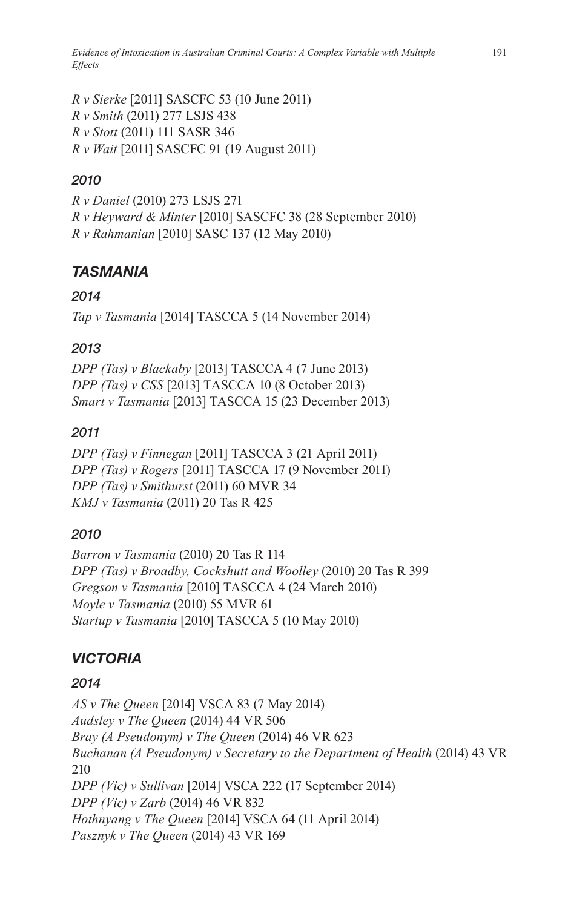*Evidence of Intoxication in Australian Criminal Courts: A Complex Variable with Multiple Effects*

*R v Sierke* [2011] SASCFC 53 (10 June 2011) *R v Smith* (2011) 277 LSJS 438 *R v Stott* (2011) 111 SASR 346 *R v Wait* [2011] SASCFC 91 (19 August 2011)

## *2010*

*R v Daniel* (2010) 273 LSJS 271 *R v Heyward & Minter* [2010] SASCFC 38 (28 September 2010) *R v Rahmanian* [2010] SASC 137 (12 May 2010)

## *TASMANIA*

### *2014*

*Tap v Tasmania* [2014] TASCCA 5 (14 November 2014)

### *2013*

*DPP (Tas) v Blackaby* [2013] TASCCA 4 (7 June 2013) *DPP (Tas) v CSS* [2013] TASCCA 10 (8 October 2013) *Smart v Tasmania* [2013] TASCCA 15 (23 December 2013)

### *2011*

*DPP (Tas) v Finnegan* [2011] TASCCA 3 (21 April 2011) *DPP (Tas) v Rogers* [2011] TASCCA 17 (9 November 2011) *DPP (Tas) v Smithurst* (2011) 60 MVR 34 *KMJ v Tasmania* (2011) 20 Tas R 425

### *2010*

*Barron v Tasmania* (2010) 20 Tas R 114 *DPP (Tas) v Broadby, Cockshutt and Woolley* (2010) 20 Tas R 399 *Gregson v Tasmania* [2010] TASCCA 4 (24 March 2010) *Moyle v Tasmania* (2010) 55 MVR 61 *Startup v Tasmania* [2010] TASCCA 5 (10 May 2010)

## *VICTORIA*

## *2014*

*AS v The Queen* [2014] VSCA 83 (7 May 2014) *Audsley v The Queen* (2014) 44 VR 506 *Bray (A Pseudonym) v The Queen* (2014) 46 VR 623 *Buchanan (A Pseudonym) v Secretary to the Department of Health* (2014) 43 VR 210 *DPP (Vic) v Sullivan* [2014] VSCA 222 (17 September 2014) *DPP (Vic) v Zarb* (2014) 46 VR 832 *Hothnyang v The Queen* [2014] VSCA 64 (11 April 2014) *Pasznyk v The Queen* (2014) 43 VR 169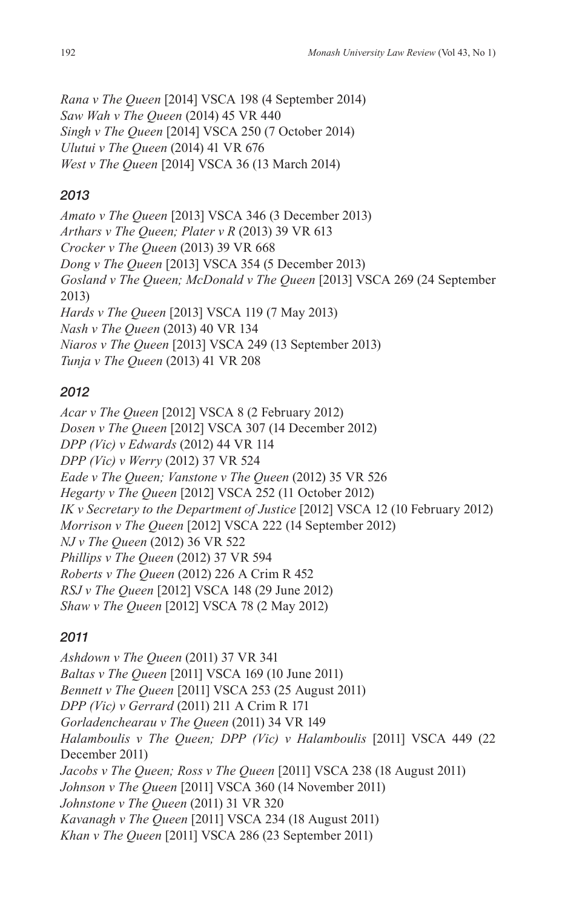*Rana v The Queen* [2014] VSCA 198 (4 September 2014) *Saw Wah v The Queen* (2014) 45 VR 440 *Singh v The Queen* [2014] VSCA 250 (7 October 2014) *Ulutui v The Queen* (2014) 41 VR 676 *West v The Queen* [2014] VSCA 36 (13 March 2014)

## *2013*

*Amato v The Queen* [2013] VSCA 346 (3 December 2013) *Arthars v The Queen; Plater v R* (2013) 39 VR 613 *Crocker v The Queen* (2013) 39 VR 668 *Dong v The Queen* [2013] VSCA 354 (5 December 2013) *Gosland v The Queen; McDonald v The Queen* [2013] VSCA 269 (24 September 2013) *Hards v The Queen* [2013] VSCA 119 (7 May 2013) *Nash v The Queen* (2013) 40 VR 134 *Niaros v The Queen* [2013] VSCA 249 (13 September 2013) *Tunja v The Queen* (2013) 41 VR 208

## *2012*

*Acar v The Queen* [2012] VSCA 8 (2 February 2012) *Dosen v The Queen* [2012] VSCA 307 (14 December 2012) *DPP (Vic) v Edwards* (2012) 44 VR 114 *DPP (Vic) v Werry* (2012) 37 VR 524 *Eade v The Queen; Vanstone v The Queen* (2012) 35 VR 526 *Hegarty v The Queen* [2012] VSCA 252 (11 October 2012) *IK v Secretary to the Department of Justice* [2012] VSCA 12 (10 February 2012) *Morrison v The Queen* [2012] VSCA 222 (14 September 2012) *NJ v The Queen* (2012) 36 VR 522 *Phillips v The Queen* (2012) 37 VR 594 *Roberts v The Queen* (2012) 226 A Crim R 452 *RSJ v The Queen* [2012] VSCA 148 (29 June 2012) *Shaw v The Queen* [2012] VSCA 78 (2 May 2012)

# *2011*

*Ashdown v The Queen* (2011) 37 VR 341 *Baltas v The Queen* [2011] VSCA 169 (10 June 2011) *Bennett v The Queen* [2011] VSCA 253 (25 August 2011) *DPP (Vic) v Gerrard* (2011) 211 A Crim R 171 *Gorladenchearau v The Queen* (2011) 34 VR 149 *Halamboulis v The Queen; DPP (Vic) v Halamboulis* [2011] VSCA 449 (22 December 2011) *Jacobs v The Queen; Ross v The Queen* [2011] VSCA 238 (18 August 2011) *Johnson v The Queen* [2011] VSCA 360 (14 November 2011) *Johnstone v The Queen* (2011) 31 VR 320 *Kavanagh v The Queen* [2011] VSCA 234 (18 August 2011) *Khan v The Queen* [2011] VSCA 286 (23 September 2011)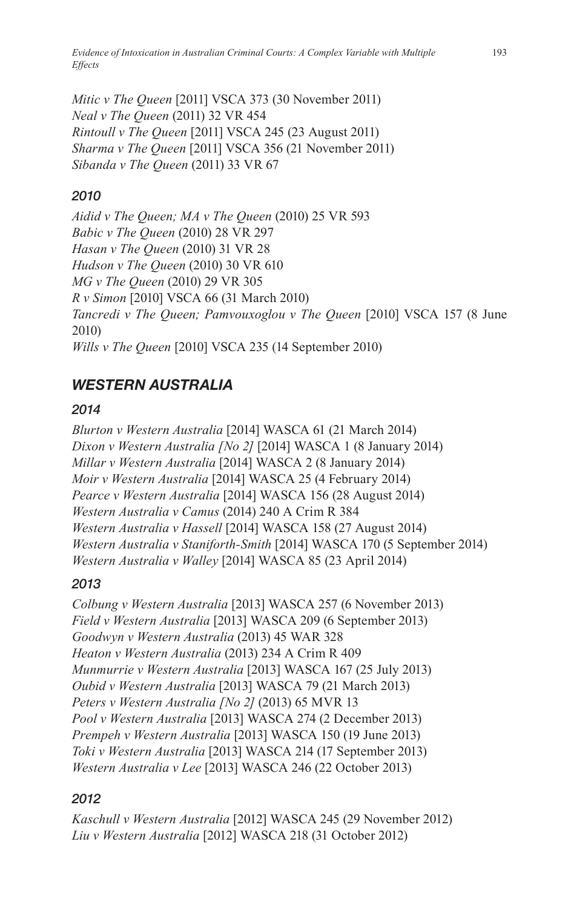*Evidence of Intoxication in Australian Criminal Courts: A Complex Variable with Multiple Effects*

*Mitic v The Queen* [2011] VSCA 373 (30 November 2011) *Neal v The Queen* (2011) 32 VR 454 *Rintoull v The Queen* [2011] VSCA 245 (23 August 2011) *Sharma v The Queen* [2011] VSCA 356 (21 November 2011) *Sibanda v The Queen* (2011) 33 VR 67

### *2010*

*Aidid v The Queen; MA v The Queen* (2010) 25 VR 593 *Babic v The Queen* (2010) 28 VR 297 *Hasan v The Queen* (2010) 31 VR 28 *Hudson v The Queen* (2010) 30 VR 610 *MG v The Queen* (2010) 29 VR 305 *R v Simon* [2010] VSCA 66 (31 March 2010) *Tancredi v The Queen; Pamvouxoglou v The Queen* [2010] VSCA 157 (8 June 2010) *Wills v The Queen* [2010] VSCA 235 (14 September 2010)

## *WESTERN AUSTRALIA*

#### *2014*

*Blurton v Western Australia* [2014] WASCA 61 (21 March 2014) *Dixon v Western Australia [No 2]* [2014] WASCA 1 (8 January 2014) *Millar v Western Australia* [2014] WASCA 2 (8 January 2014) *Moir v Western Australia* [2014] WASCA 25 (4 February 2014) *Pearce v Western Australia* [2014] WASCA 156 (28 August 2014) *Western Australia v Camus* (2014) 240 A Crim R 384 *Western Australia v Hassell* [2014] WASCA 158 (27 August 2014) *Western Australia v Staniforth-Smith* [2014] WASCA 170 (5 September 2014) *Western Australia v Walley* [2014] WASCA 85 (23 April 2014)

### *2013*

*Colbung v Western Australia* [2013] WASCA 257 (6 November 2013) *Field v Western Australia* [2013] WASCA 209 (6 September 2013) *Goodwyn v Western Australia* (2013) 45 WAR 328 *Heaton v Western Australia* (2013) 234 A Crim R 409 *Munmurrie v Western Australia* [2013] WASCA 167 (25 July 2013) *Oubid v Western Australia* [2013] WASCA 79 (21 March 2013) *Peters v Western Australia [No 2]* (2013) 65 MVR 13 *Pool v Western Australia* [2013] WASCA 274 (2 December 2013) *Prempeh v Western Australia* [2013] WASCA 150 (19 June 2013) *Toki v Western Australia* [2013] WASCA 214 (17 September 2013) *Western Australia v Lee* [2013] WASCA 246 (22 October 2013)

### *2012*

*Kaschull v Western Australia* [2012] WASCA 245 (29 November 2012) *Liu v Western Australia* [2012] WASCA 218 (31 October 2012)